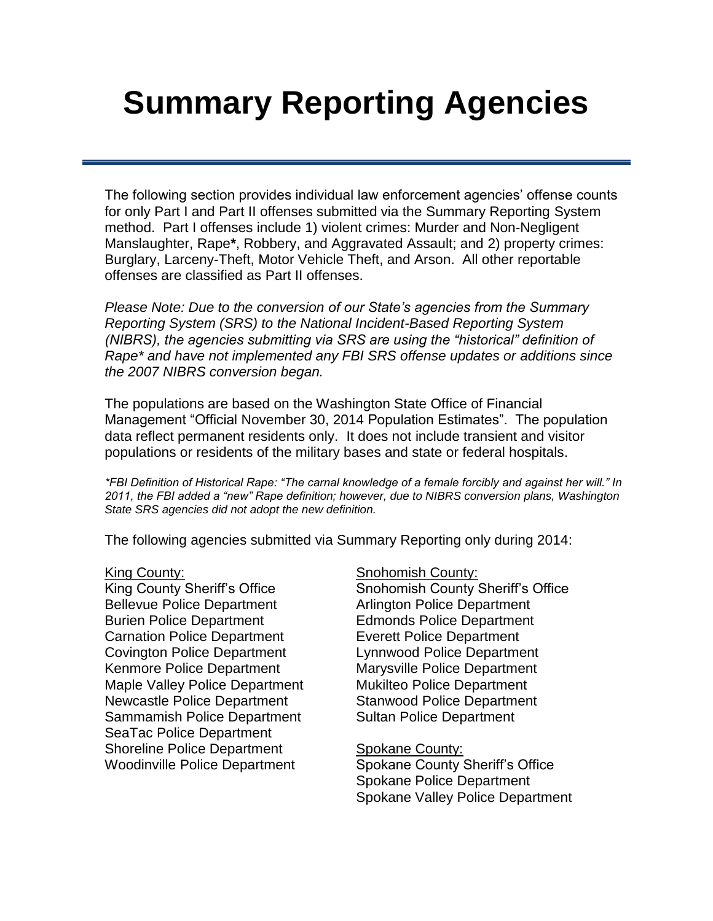# **Summary Reporting Agencies**

The following section provides individual law enforcement agencies' offense counts for only Part I and Part II offenses submitted via the Summary Reporting System method. Part I offenses include 1) violent crimes: Murder and Non-Negligent Manslaughter, Rape**\***, Robbery, and Aggravated Assault; and 2) property crimes: Burglary, Larceny-Theft, Motor Vehicle Theft, and Arson. All other reportable offenses are classified as Part II offenses.

*Please Note: Due to the conversion of our State's agencies from the Summary Reporting System (SRS) to the National Incident-Based Reporting System (NIBRS), the agencies submitting via SRS are using the "historical" definition of Rape\* and have not implemented any FBI SRS offense updates or additions since the 2007 NIBRS conversion began.*

The populations are based on the Washington State Office of Financial Management "Official November 30, 2014 Population Estimates". The population [data reflect permanent reside](#page-3-0)nts only. I[t does not include transient and visit](#page-15-0)or [populations or residents of the](#page-4-0) military b[ases and state or federal hosp](#page-16-0)itals.

*[\\*FBI Definition of Historical Rape: "T](#page-6-0)he carnal kn[owledge of a female forcibly and](#page-18-0) against her will." In [2011, the FBI added a "new" Rape d](#page-7-0)efinition; ho[wever, due to NIBRS conversion pla](#page-19-0)ns, Washington [State SRS agencies did not adopt t](#page-8-0)he new defin[ition.](#page-20-0)*

[The following agencies submitted](#page-9-0) via S[u](#page-21-0)[mmary Reporting](#page-22-0) only during 2014:

[Bellevue Police Department](#page-14-0) **Arlington [Police Department](#page-24-0)** Burien Police Department Edmonds Police Department Carnation Police Department [Everett Police Department](#page-25-0) Covington Police Department Lynnwood Police Department Kenmore Police Department Marysville Police Department Maple Valley Police Department Mukilteo Police Department Newcastle Police Department Stanwood Police Department Sammamish Police Department Sultan Police Department SeaTac Police Department Shoreline Police Department Spokane County:

### [King County:](#page-11-0) [Snohomish County:](#page-23-0)

[King County Sheriff's Office](#page-12-0) Snohomish County Sheriff's Office

Woodinville Police Department Spokane County Sheriff's Office Spokane Police Department Spokane Valley Police Department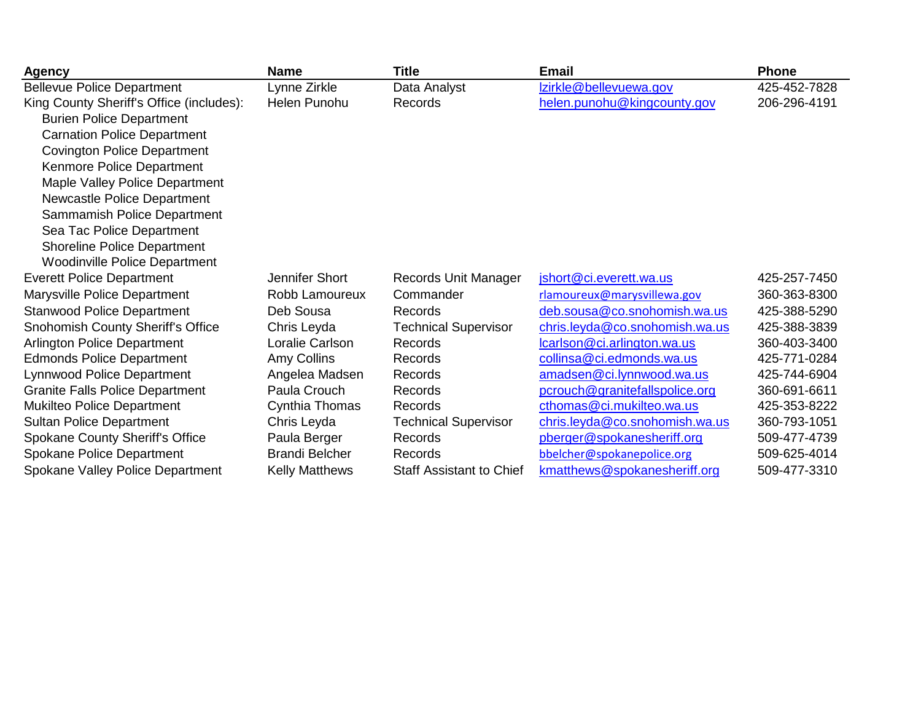| <b>Agency</b>                            | <b>Name</b>           | <b>Title</b>                    | <b>Email</b>                   | <b>Phone</b> |
|------------------------------------------|-----------------------|---------------------------------|--------------------------------|--------------|
| <b>Bellevue Police Department</b>        | Lynne Zirkle          | Data Analyst                    | Izirkle@bellevuewa.gov         | 425-452-7828 |
| King County Sheriff's Office (includes): | Helen Punohu          | Records                         | helen.punohu@kingcounty.gov    | 206-296-4191 |
| <b>Burien Police Department</b>          |                       |                                 |                                |              |
| <b>Carnation Police Department</b>       |                       |                                 |                                |              |
| <b>Covington Police Department</b>       |                       |                                 |                                |              |
| Kenmore Police Department                |                       |                                 |                                |              |
| Maple Valley Police Department           |                       |                                 |                                |              |
| Newcastle Police Department              |                       |                                 |                                |              |
| Sammamish Police Department              |                       |                                 |                                |              |
| Sea Tac Police Department                |                       |                                 |                                |              |
| <b>Shoreline Police Department</b>       |                       |                                 |                                |              |
| <b>Woodinville Police Department</b>     |                       |                                 |                                |              |
| <b>Everett Police Department</b>         | Jennifer Short        | Records Unit Manager            | jshort@ci.everett.wa.us        | 425-257-7450 |
| Marysville Police Department             | Robb Lamoureux        | Commander                       | rlamoureux@marysvillewa.gov    | 360-363-8300 |
| <b>Stanwood Police Department</b>        | Deb Sousa             | Records                         | deb.sousa@co.snohomish.wa.us   | 425-388-5290 |
| <b>Snohomish County Sheriff's Office</b> | Chris Leyda           | <b>Technical Supervisor</b>     | chris.leyda@co.snohomish.wa.us | 425-388-3839 |
| <b>Arlington Police Department</b>       | Loralie Carlson       | Records                         | lcarlson@ci.arlington.wa.us    | 360-403-3400 |
| <b>Edmonds Police Department</b>         | Amy Collins           | Records                         | collinsa@ci.edmonds.wa.us      | 425-771-0284 |
| <b>Lynnwood Police Department</b>        | Angelea Madsen        | Records                         | amadsen@ci.lynnwood.wa.us      | 425-744-6904 |
| <b>Granite Falls Police Department</b>   | Paula Crouch          | Records                         | pcrouch@granitefallspolice.org | 360-691-6611 |
| Mukilteo Police Department               | Cynthia Thomas        | Records                         | cthomas@ci.mukilteo.wa.us      | 425-353-8222 |
| <b>Sultan Police Department</b>          | Chris Leyda           | <b>Technical Supervisor</b>     | chris.leyda@co.snohomish.wa.us | 360-793-1051 |
| <b>Spokane County Sheriff's Office</b>   | Paula Berger          | Records                         | pberger@spokanesheriff.org     | 509-477-4739 |
| Spokane Police Department                | <b>Brandi Belcher</b> | Records                         | bbelcher@spokanepolice.org     | 509-625-4014 |
| Spokane Valley Police Department         | <b>Kelly Matthews</b> | <b>Staff Assistant to Chief</b> | kmatthews@spokanesheriff.org   | 509-477-3310 |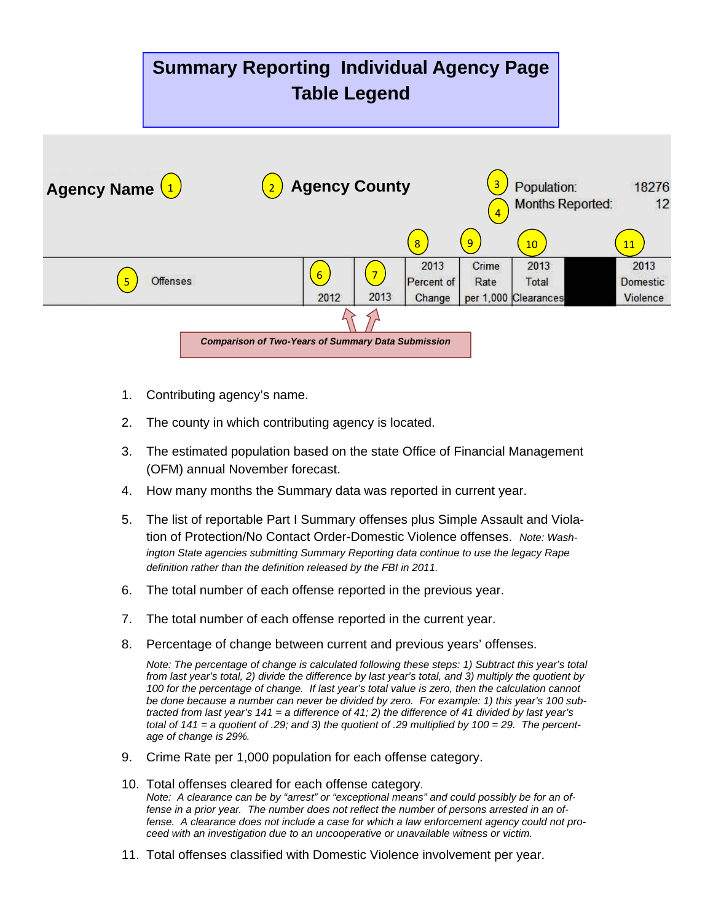## **Summary Reporting Individual Agency Page Table Legend**



- 1. Contributing agency's name.
- 2. The county in which contributing agency is located.
- 3. The estimated population based on the state Office of Financial Management (OFM) annual November forecast.
- 4. How many months the Summary data was reported in current year.
- 5. The list of reportable Part I Summary offenses plus Simple Assault and Violation of Protection/No Contact Order-Domestic Violence offenses. *Note: Washington State agencies submitting Summary Reporting data continue to use the legacy Rape definition rather than the definition released by the FBI in 2011.*
- 6. The total number of each offense reported in the previous year.
- 7. The total number of each offense reported in the current year.
- 8. Percentage of change between current and previous years' offenses.

*Note: The percentage of change is calculated following these steps: 1) Subtract this year's total from last year's total, 2) divide the difference by last year's total, and 3) multiply the quotient by 100 for the percentage of change. If last year's total value is zero, then the calculation cannot be done because a number can never be divided by zero. For example: 1) this year's 100 subtracted from last year's 141 = a difference of 41; 2) the difference of 41 divided by last year's total of 141 = a quotient of .29; and 3) the quotient of .29 multiplied by 100 = 29. The percentage of change is 29%.*

- 9. Crime Rate per 1,000 population for each offense category.
- 10. Total offenses cleared for each offense category. *Note: A clearance can be by "arrest" or "exceptional means" and could possibly be for an offense in a prior year. The number does not reflect the number of persons arrested in an offense. A clearance does not include a case for which a law enforcement agency could not proceed with an investigation due to an uncooperative or unavailable witness or victim.*
- 11. Total offenses classified with Domestic Violence involvement per year.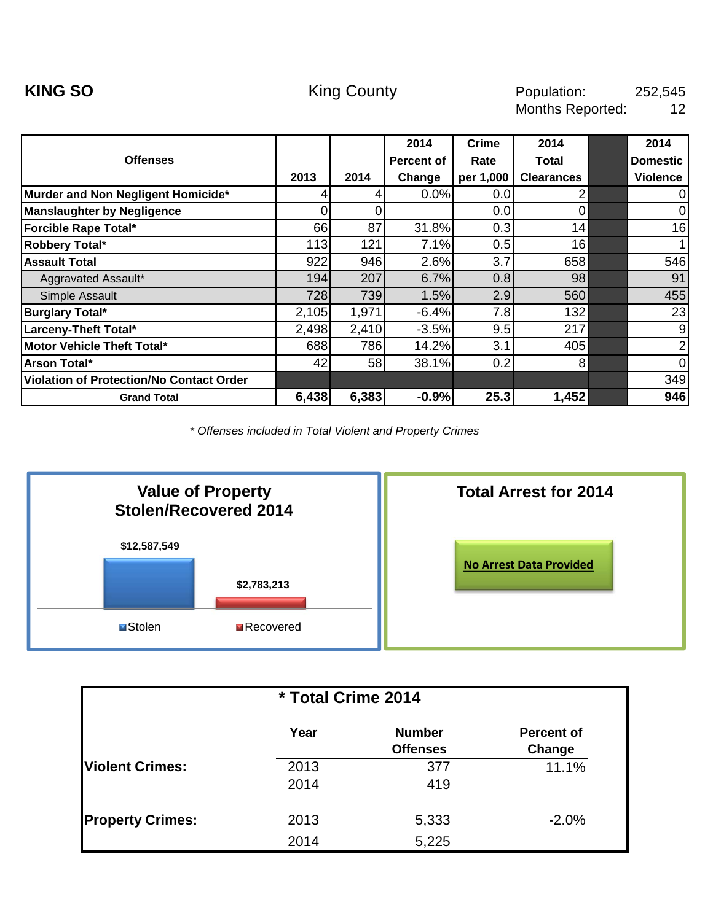<span id="page-3-0"></span>

|                                                 |       |       | 2014       | <b>Crime</b> | 2014              | 2014            |
|-------------------------------------------------|-------|-------|------------|--------------|-------------------|-----------------|
| <b>Offenses</b>                                 |       |       | Percent of | Rate         | Total             | <b>Domestic</b> |
|                                                 | 2013  | 2014  | Change     | per 1,000    | <b>Clearances</b> | <b>Violence</b> |
| Murder and Non Negligent Homicide*              | 4     |       | 0.0%       | 0.0          | 2                 | 0               |
| <b>Manslaughter by Negligence</b>               | 0     | ი     |            | 0.0          | $\Omega$          | 0               |
| Forcible Rape Total*                            | 66    | 87    | 31.8%      | 0.3          | 14                | 16              |
| Robbery Total*                                  | 113   | 121   | 7.1%       | 0.5          | 16                | 1               |
| <b>Assault Total</b>                            | 922   | 946   | 2.6%       | 3.7          | 658               | 546             |
| Aggravated Assault*                             | 194   | 207   | 6.7%       | 0.8          | 98                | 91              |
| Simple Assault                                  | 728   | 739   | 1.5%       | 2.9          | 560               | 455             |
| <b>Burglary Total*</b>                          | 2,105 | 1,971 | $-6.4%$    | 7.8          | 132               | 23              |
| Larceny-Theft Total*                            | 2,498 | 2,410 | $-3.5%$    | 9.5          | 217               | 9               |
| Motor Vehicle Theft Total*                      | 688   | 786   | 14.2%      | 3.1          | 405               | 2               |
| Arson Total*                                    | 42    | 58    | 38.1%      | 0.2          | 8                 | $\mathbf 0$     |
| <b>Violation of Protection/No Contact Order</b> |       |       |            |              |                   | 349             |
| <b>Grand Total</b>                              | 6,438 | 6,383 | $-0.9%$    | 25.3         | 1,452             | 946             |



| * Total Crime 2014      |              |                                  |                             |  |  |  |  |  |
|-------------------------|--------------|----------------------------------|-----------------------------|--|--|--|--|--|
|                         | Year         | <b>Number</b><br><b>Offenses</b> | <b>Percent of</b><br>Change |  |  |  |  |  |
| <b>Violent Crimes:</b>  | 2013<br>2014 | 377<br>419                       | 11.1%                       |  |  |  |  |  |
| <b>Property Crimes:</b> | 2013<br>2014 | 5,333<br>5,225                   | $-2.0%$                     |  |  |  |  |  |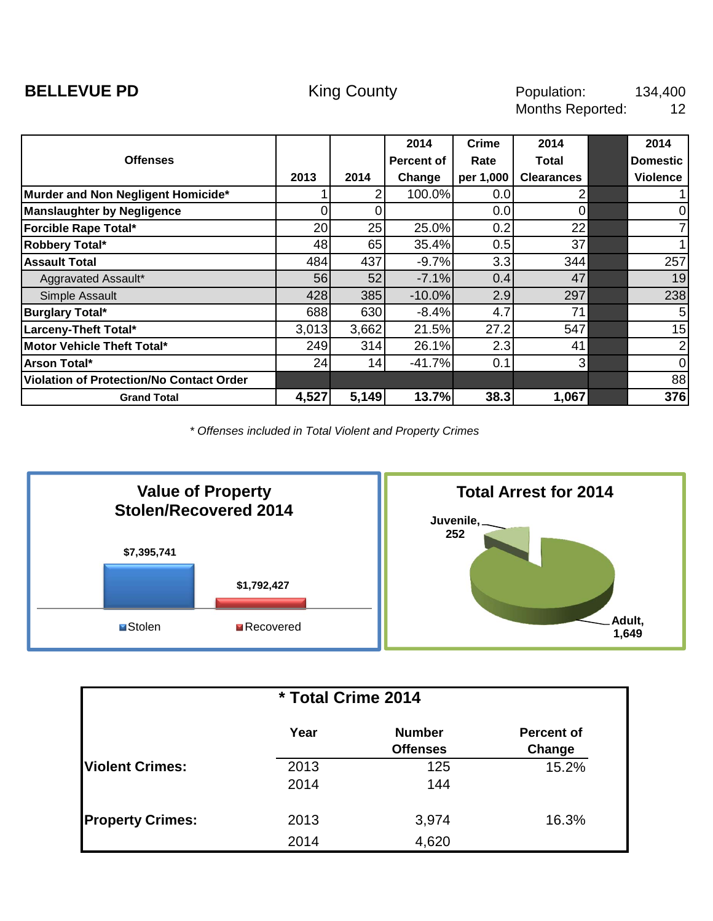<span id="page-4-0"></span>

|                                          |       |       | 2014              | <b>Crime</b> | 2014              | 2014            |
|------------------------------------------|-------|-------|-------------------|--------------|-------------------|-----------------|
| <b>Offenses</b>                          |       |       | <b>Percent of</b> | Rate         | Total             | <b>Domestic</b> |
|                                          | 2013  | 2014  | Change            | per 1,000    | <b>Clearances</b> | <b>Violence</b> |
| Murder and Non Negligent Homicide*       |       |       | 100.0%            | 0.0          |                   |                 |
| <b>Manslaughter by Negligence</b>        | ი     |       |                   | 0.0          | 0                 | $\mathbf 0$     |
| Forcible Rape Total*                     | 20    | 25    | 25.0%             | 0.2          | 22                | $\overline{7}$  |
| Robbery Total*                           | 48    | 65    | 35.4%             | 0.5          | 37                | 1               |
| <b>Assault Total</b>                     | 484   | 437   | $-9.7%$           | 3.3          | 344               | 257             |
| Aggravated Assault*                      | 56    | 52    | $-7.1%$           | 0.4          | 47                | 19              |
| Simple Assault                           | 428   | 385   | $-10.0%$          | 2.9          | 297               | 238             |
| <b>Burglary Total*</b>                   | 688   | 630   | $-8.4%$           | 4.7          | 71                | $5\phantom{.0}$ |
| Larceny-Theft Total*                     | 3,013 | 3,662 | 21.5%             | 27.2         | 547               | 15              |
| Motor Vehicle Theft Total*               | 249   | 314   | 26.1%             | 2.3          | 41                | $\overline{2}$  |
| Arson Total*                             | 24    | 14    | $-41.7%$          | 0.1          | 3                 | $\overline{0}$  |
| Violation of Protection/No Contact Order |       |       |                   |              |                   | 88              |
| <b>Grand Total</b>                       | 4,527 | 5,149 | 13.7%             | 38.3         | 1,067             | 376             |



| * Total Crime 2014      |              |                                  |                             |  |  |  |  |
|-------------------------|--------------|----------------------------------|-----------------------------|--|--|--|--|
|                         | Year         | <b>Number</b><br><b>Offenses</b> | <b>Percent of</b><br>Change |  |  |  |  |
| <b>Violent Crimes:</b>  | 2013<br>2014 | 125<br>144                       | 15.2%                       |  |  |  |  |
| <b>Property Crimes:</b> | 2013<br>2014 | 3,974<br>4,620                   | 16.3%                       |  |  |  |  |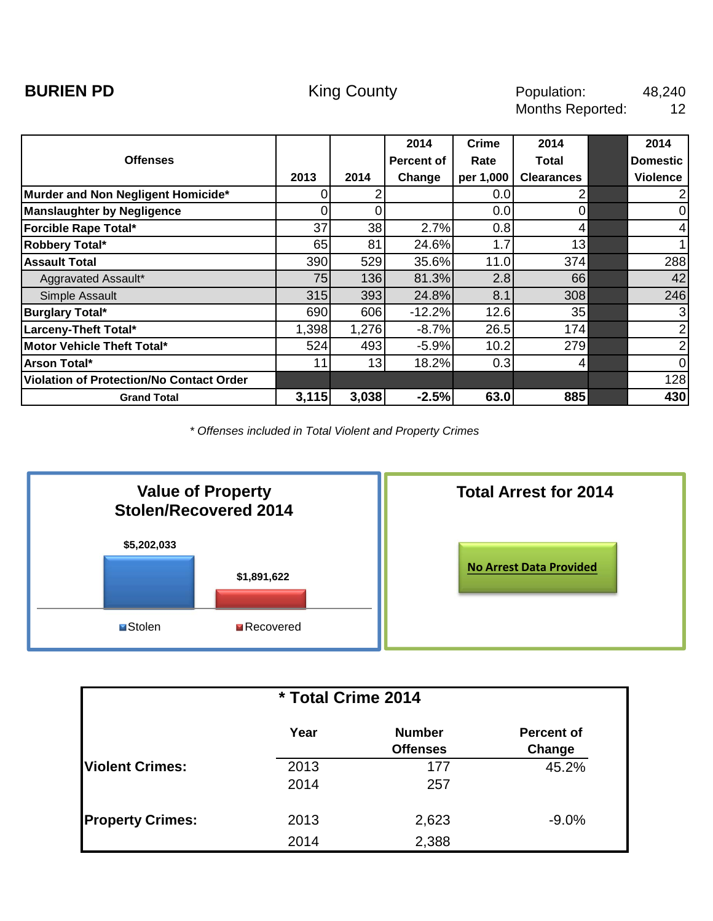<span id="page-5-0"></span>

|                                          |       |       | 2014       | <b>Crime</b> | 2014              | 2014            |
|------------------------------------------|-------|-------|------------|--------------|-------------------|-----------------|
| <b>Offenses</b>                          |       |       | Percent of | Rate         | Total             | <b>Domestic</b> |
|                                          | 2013  | 2014  | Change     | per 1,000    | <b>Clearances</b> | <b>Violence</b> |
| Murder and Non Negligent Homicide*       | Ω     |       |            | 0.0          |                   | $\overline{2}$  |
| <b>Manslaughter by Negligence</b>        |       |       |            | 0.0          |                   | $\mathbf 0$     |
| Forcible Rape Total*                     | 37    | 38    | 2.7%       | 0.8          | 4                 | $\overline{4}$  |
| Robbery Total*                           | 65    | 81    | 24.6%      | 1.7          | 13                | 1               |
| <b>Assault Total</b>                     | 390   | 529   | 35.6%      | 11.0         | 374               | 288             |
| Aggravated Assault*                      | 75    | 136   | 81.3%      | 2.8          | 66                | 42              |
| Simple Assault                           | 315   | 393   | 24.8%      | 8.1          | 308               | 246             |
| <b>Burglary Total*</b>                   | 690   | 606   | $-12.2%$   | 12.6         | 35                | 3               |
| Larceny-Theft Total*                     | 1,398 | 1,276 | $-8.7%$    | 26.5         | 174               | $\overline{2}$  |
| Motor Vehicle Theft Total*               | 524   | 493   | $-5.9%$    | 10.2         | 279               | $\overline{2}$  |
| Arson Total*                             | 11    | 13    | 18.2%      | 0.3          | 4                 | $\overline{0}$  |
| Violation of Protection/No Contact Order |       |       |            |              |                   | 128             |
| <b>Grand Total</b>                       | 3,115 | 3,038 | $-2.5%$    | 63.0         | 885               | 430             |



| * Total Crime 2014      |              |                                  |                             |  |  |  |  |  |
|-------------------------|--------------|----------------------------------|-----------------------------|--|--|--|--|--|
|                         | Year         | <b>Number</b><br><b>Offenses</b> | <b>Percent of</b><br>Change |  |  |  |  |  |
| <b>Violent Crimes:</b>  | 2013<br>2014 | 177<br>257                       | 45.2%                       |  |  |  |  |  |
| <b>Property Crimes:</b> | 2013<br>2014 | 2,623<br>2,388                   | $-9.0%$                     |  |  |  |  |  |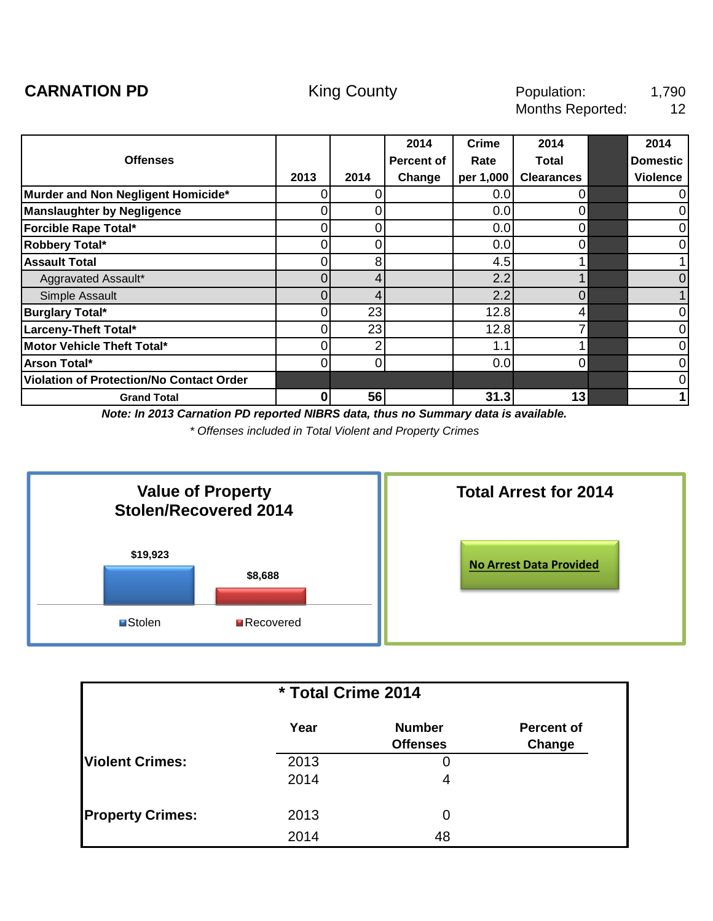<span id="page-6-0"></span>

|                                          |      |      | 2014              | <b>Crime</b> | 2014              | 2014            |
|------------------------------------------|------|------|-------------------|--------------|-------------------|-----------------|
| <b>Offenses</b>                          |      |      | <b>Percent of</b> | Rate         | <b>Total</b>      | <b>Domestic</b> |
|                                          | 2013 | 2014 | Change            | per 1,000    | <b>Clearances</b> | <b>Violence</b> |
| Murder and Non Negligent Homicide*       |      |      |                   | 0.0          |                   | $\mathbf 0$     |
| <b>Manslaughter by Negligence</b>        |      |      |                   | 0.0          |                   | $\mathbf 0$     |
| Forcible Rape Total*                     | 0    | 0    |                   | 0.0          | 0                 | $\mathbf 0$     |
| Robbery Total*                           | 0    | ი    |                   | 0.0          | $\Omega$          | $\mathbf 0$     |
| <b>Assault Total</b>                     |      | 8    |                   | 4.5          |                   | 1               |
| Aggravated Assault*                      | 0    | 4    |                   | 2.2          |                   | $\overline{0}$  |
| Simple Assault                           | 0    | 4    |                   | 2.2          | $\overline{0}$    | 1               |
| <b>Burglary Total*</b>                   | ი    | 23   |                   | 12.8         | 4                 | $\mathbf 0$     |
| Larceny-Theft Total*                     |      | 23   |                   | 12.8         |                   | $\mathbf 0$     |
| Motor Vehicle Theft Total*               | 0    | 2    |                   | 1.1          |                   | $\mathbf 0$     |
| <b>Arson Total*</b>                      | 0    | 0    |                   | 0.0          | 0                 | $\mathbf 0$     |
| Violation of Protection/No Contact Order |      |      |                   |              |                   | $\mathbf 0$     |
| <b>Grand Total</b>                       | 0    | 56   |                   | 31.3         | 13                | 1               |

*Note: In 2013 Carnation PD reported NIBRS data, thus no Summary data is available.*



| * Total Crime 2014      |      |                 |                   |  |  |  |  |  |
|-------------------------|------|-----------------|-------------------|--|--|--|--|--|
|                         | Year | <b>Number</b>   | <b>Percent of</b> |  |  |  |  |  |
|                         |      | <b>Offenses</b> | Change            |  |  |  |  |  |
| <b>Violent Crimes:</b>  | 2013 | 0               |                   |  |  |  |  |  |
|                         | 2014 | 4               |                   |  |  |  |  |  |
| <b>Property Crimes:</b> | 2013 | 0               |                   |  |  |  |  |  |
|                         | 2014 | 48              |                   |  |  |  |  |  |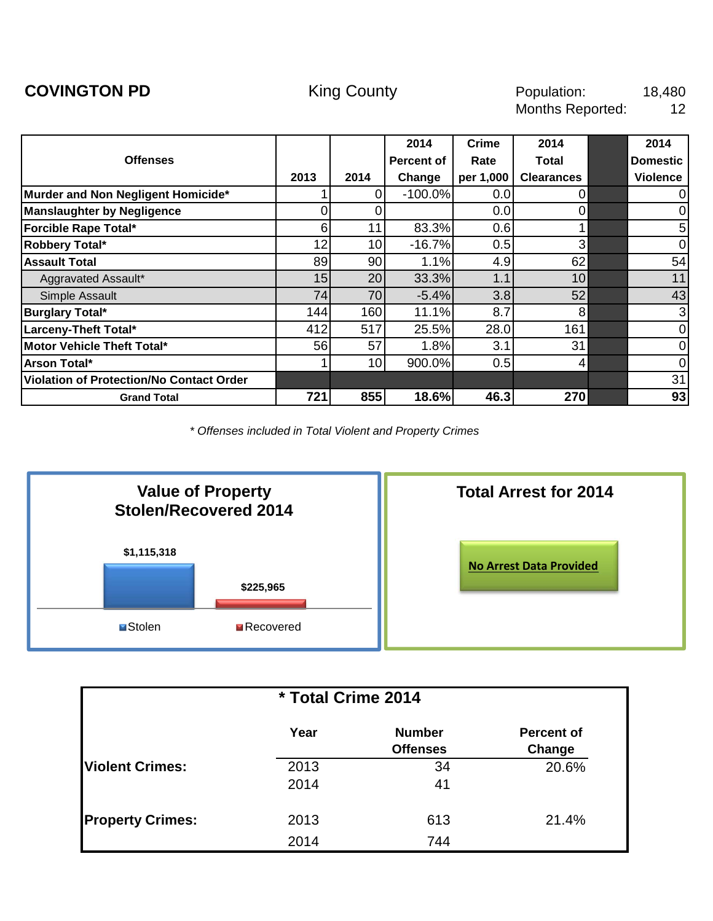<span id="page-7-0"></span>

|                                                 |      |                 | 2014       | Crime     | 2014              | 2014            |
|-------------------------------------------------|------|-----------------|------------|-----------|-------------------|-----------------|
| <b>Offenses</b>                                 |      |                 | Percent of | Rate      | Total             | <b>Domestic</b> |
|                                                 | 2013 | 2014            | Change     | per 1,000 | <b>Clearances</b> | <b>Violence</b> |
| Murder and Non Negligent Homicide*              |      | 0               | $-100.0%$  | 0.0       | $\Omega$          | 0               |
| <b>Manslaughter by Negligence</b>               |      |                 |            | 0.0       | $\Omega$          | 0               |
| <b>Forcible Rape Total*</b>                     | 6    | 11              | 83.3%      | 0.6       |                   | 5               |
| Robbery Total*                                  | 12   | 10 <sub>l</sub> | $-16.7%$   | 0.5       | 3 <sub>l</sub>    | $\mathbf 0$     |
| <b>Assault Total</b>                            | 89   | 90              | 1.1%       | 4.9       | 62                | 54              |
| Aggravated Assault*                             | 15   | 20 <sub>l</sub> | 33.3%      | 1.1       | 10                | 11              |
| Simple Assault                                  | 74   | 70              | $-5.4%$    | 3.8       | 52                | 43              |
| <b>Burglary Total*</b>                          | 144  | 160             | 11.1%      | 8.7       | 8                 | 3               |
| Larceny-Theft Total*                            | 412  | 517             | 25.5%      | 28.0      | 161               | $\mathbf 0$     |
| Motor Vehicle Theft Total*                      | 56   | 57              | 1.8%       | 3.1       | 31                | $\mathbf 0$     |
| Arson Total*                                    |      | 10 <sup>1</sup> | 900.0%     | 0.5       | 4                 | 0               |
| <b>Violation of Protection/No Contact Order</b> |      |                 |            |           |                   | 31              |
| <b>Grand Total</b>                              | 721  | 855             | 18.6%      | 46.3      | 270               | 93              |



| * Total Crime 2014      |      |                                  |                             |  |  |  |  |
|-------------------------|------|----------------------------------|-----------------------------|--|--|--|--|
|                         | Year | <b>Number</b><br><b>Offenses</b> | <b>Percent of</b><br>Change |  |  |  |  |
| <b>IViolent Crimes:</b> | 2013 | 34                               | 20.6%                       |  |  |  |  |
|                         | 2014 | 41                               |                             |  |  |  |  |
| <b>Property Crimes:</b> | 2013 | 613                              | 21.4%                       |  |  |  |  |
|                         | 2014 | 744                              |                             |  |  |  |  |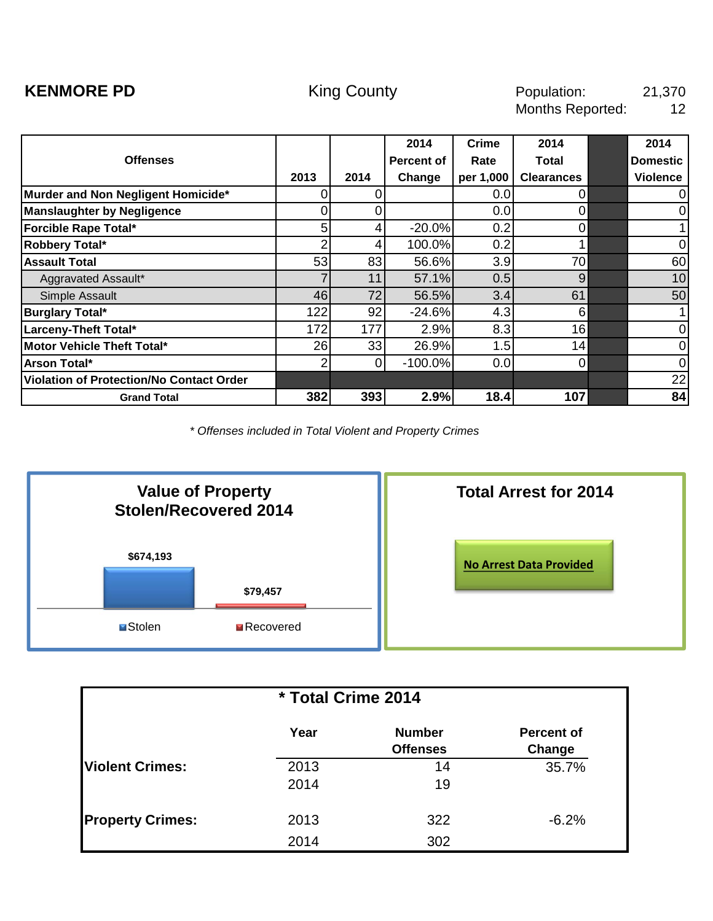<span id="page-8-0"></span>

|                                                 |      |      | 2014       | <b>Crime</b> | 2014              | 2014            |
|-------------------------------------------------|------|------|------------|--------------|-------------------|-----------------|
| <b>Offenses</b>                                 |      |      | Percent of | Rate         | Total             | <b>Domestic</b> |
|                                                 | 2013 | 2014 | Change     | per 1,000    | <b>Clearances</b> | <b>Violence</b> |
| Murder and Non Negligent Homicide*              | 0    | Ω    |            | 0.0          | $\Omega$          | 0               |
| <b>Manslaughter by Negligence</b>               | 0    |      |            | 0.0          | $\Omega$          | 0               |
| Forcible Rape Total*                            | 5    | 41   | $-20.0%$   | 0.2          | $\overline{0}$    |                 |
| Robbery Total*                                  |      | 4    | 100.0%     | 0.2          |                   | 0               |
| <b>Assault Total</b>                            | 53   | 83   | 56.6%      | 3.9          | 70                | 60              |
| Aggravated Assault*                             |      | 11   | 57.1%      | 0.5          | 9                 | 10              |
| Simple Assault                                  | 46   | 72   | 56.5%      | 3.4          | 61                | 50              |
| <b>Burglary Total*</b>                          | 122  | 92   | $-24.6%$   | 4.3          | 6                 |                 |
| Larceny-Theft Total*                            | 172  | 177  | 2.9%       | 8.3          | 16                | $\pmb{0}$       |
| Motor Vehicle Theft Total*                      | 26   | 33   | 26.9%      | 1.5          | 14                | $\mathbf 0$     |
| Arson Total*                                    | 2    | 0    | $-100.0%$  | 0.0          | $\overline{0}$    | $\mathbf 0$     |
| <b>Violation of Protection/No Contact Order</b> |      |      |            |              |                   | 22              |
| <b>Grand Total</b>                              | 382  | 393  | 2.9%       | 18.4         | 107               | 84              |



| * Total Crime 2014      |      |                                  |                             |  |  |  |  |  |
|-------------------------|------|----------------------------------|-----------------------------|--|--|--|--|--|
|                         | Year | <b>Number</b><br><b>Offenses</b> | <b>Percent of</b><br>Change |  |  |  |  |  |
| <b>Violent Crimes:</b>  | 2013 | 14                               | 35.7%                       |  |  |  |  |  |
|                         | 2014 | 19                               |                             |  |  |  |  |  |
| <b>Property Crimes:</b> | 2013 | 322                              | $-6.2%$                     |  |  |  |  |  |
|                         | 2014 | 302                              |                             |  |  |  |  |  |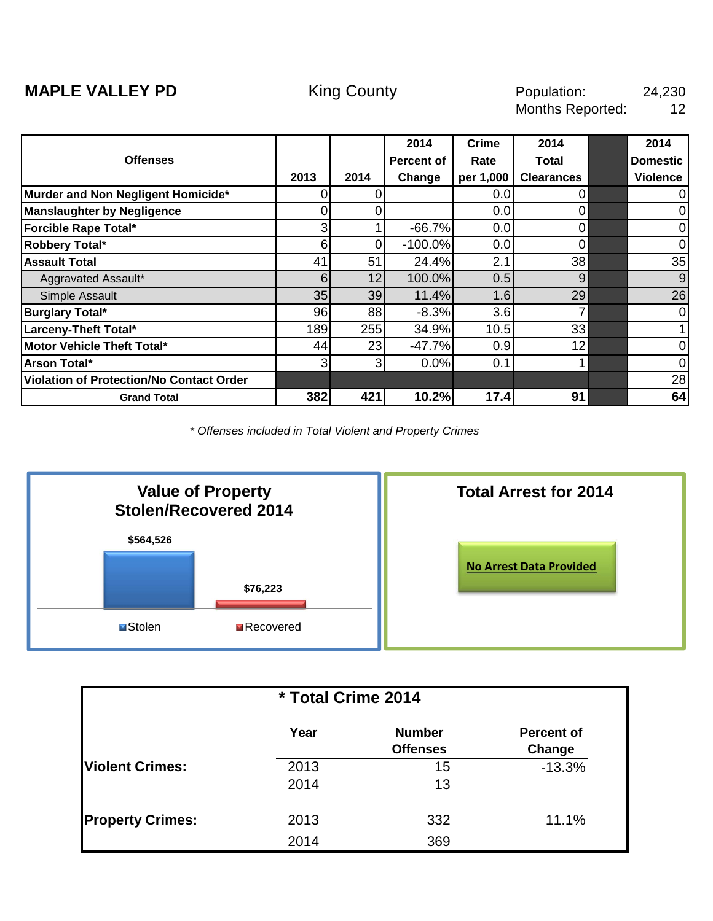<span id="page-9-0"></span>

|                                          |                |                 | 2014       | <b>Crime</b> | 2014              | 2014            |
|------------------------------------------|----------------|-----------------|------------|--------------|-------------------|-----------------|
| <b>Offenses</b>                          |                |                 | Percent of | Rate         | Total             | <b>Domestic</b> |
|                                          | 2013           | 2014            | Change     | per 1,000    | <b>Clearances</b> | <b>Violence</b> |
| Murder and Non Negligent Homicide*       | 0              |                 |            | 0.0          | $\mathbf 0$       | 0               |
| <b>Manslaughter by Negligence</b>        |                |                 |            | 0.0          | $\Omega$          | 0               |
| Forcible Rape Total*                     | $3 \mid$       |                 | $-66.7%$   | 0.0          | $\overline{0}$    | 0               |
| Robbery Total*                           | $6 \mid$       | 0               | $-100.0%$  | 0.0          | $\Omega$          | $\mathbf 0$     |
| <b>Assault Total</b>                     | 41             | 51              | 24.4%      | 2.1          | 38                | 35              |
| Aggravated Assault*                      | 6              | 12 <sub>1</sub> | 100.0%     | 0.5          | 9                 | 9               |
| Simple Assault                           | 35             | 39              | 11.4%      | 1.6          | 29                | 26              |
| <b>Burglary Total*</b>                   | 96             | 88              | $-8.3%$    | 3.6          |                   | 0               |
| Larceny-Theft Total*                     | 189            | 255             | 34.9%      | 10.5         | 33                | 1               |
| <b>Motor Vehicle Theft Total*</b>        | 44             | 23              | $-47.7%$   | 0.9          | 12                | $\mathbf 0$     |
| Arson Total*                             | 3 <sub>l</sub> | 3 <sub>l</sub>  | 0.0%       | 0.1          |                   | $\mathbf 0$     |
| Violation of Protection/No Contact Order |                |                 |            |              |                   | 28              |
| <b>Grand Total</b>                       | 382            | 421             | 10.2%      | 17.4         | 91                | 64              |



| * Total Crime 2014      |      |                                  |                             |  |  |  |  |
|-------------------------|------|----------------------------------|-----------------------------|--|--|--|--|
|                         | Year | <b>Number</b><br><b>Offenses</b> | <b>Percent of</b><br>Change |  |  |  |  |
| <b>IViolent Crimes:</b> | 2013 | 15                               | $-13.3%$                    |  |  |  |  |
|                         | 2014 | 13                               |                             |  |  |  |  |
| <b>Property Crimes:</b> | 2013 | 332                              | 11.1%                       |  |  |  |  |
|                         | 2014 | 369                              |                             |  |  |  |  |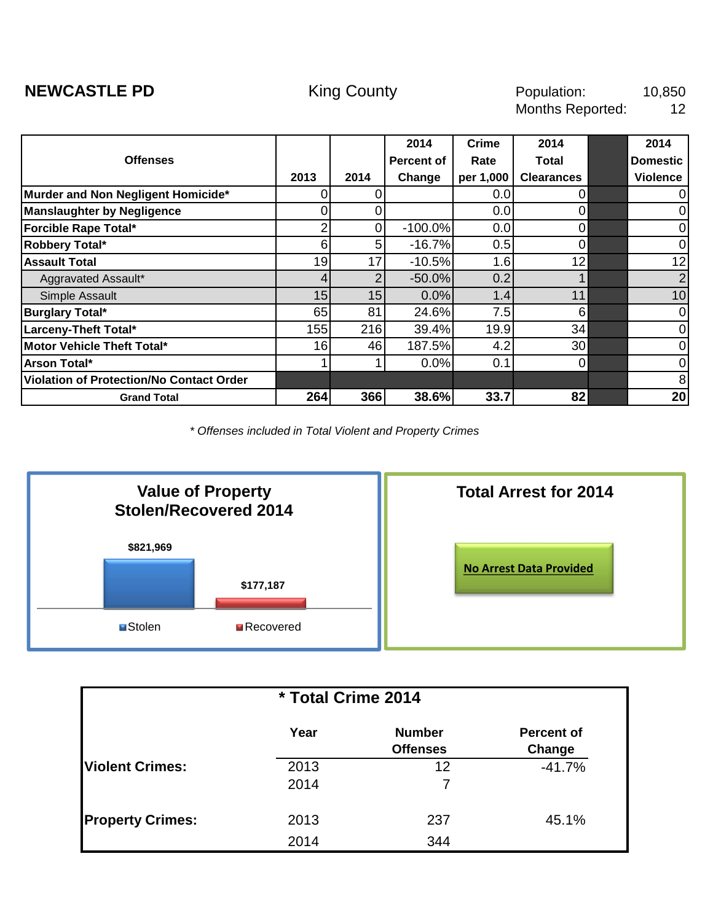<span id="page-10-0"></span>

|                                          |      |      | 2014              | <b>Crime</b> | 2014              | 2014            |
|------------------------------------------|------|------|-------------------|--------------|-------------------|-----------------|
| <b>Offenses</b>                          |      |      | <b>Percent of</b> | Rate         | Total             | <b>Domestic</b> |
|                                          | 2013 | 2014 | Change            | per 1,000    | <b>Clearances</b> | <b>Violence</b> |
| Murder and Non Negligent Homicide*       | 0    |      |                   | 0.0          | 0                 | $\mathbf 0$     |
| <b>Manslaughter by Negligence</b>        |      |      |                   | 0.0          |                   | $\mathbf 0$     |
| <b>Forcible Rape Total*</b>              |      |      | $-100.0%$         | 0.0          | 0                 | $\mathbf 0$     |
| Robbery Total*                           | 6    | 5    | $-16.7%$          | 0.5          | 0                 | $\mathbf 0$     |
| <b>Assault Total</b>                     | 19   | 17   | $-10.5%$          | 1.6          | 12                | 12              |
| Aggravated Assault*                      |      |      | $-50.0%$          | 0.2          |                   | $\overline{2}$  |
| Simple Assault                           | 15   | 15   | 0.0%              | 1.4          | 11                | 10              |
| <b>Burglary Total*</b>                   | 65   | 81   | 24.6%             | 7.5          | 6                 | $\mathbf 0$     |
| Larceny-Theft Total*                     | 155  | 216  | 39.4%             | 19.9         | 34                | $\mathbf 0$     |
| Motor Vehicle Theft Total*               | 16   | 46   | 187.5%            | 4.2          | 30                | $\mathbf 0$     |
| Arson Total*                             |      |      | 0.0%              | 0.1          | 0                 | $\mathbf 0$     |
| Violation of Protection/No Contact Order |      |      |                   |              |                   | 8               |
| <b>Grand Total</b>                       | 264  | 366  | 38.6%             | 33.7         | 82                | 20              |



| * Total Crime 2014      |              |                                  |                             |  |  |  |  |  |
|-------------------------|--------------|----------------------------------|-----------------------------|--|--|--|--|--|
|                         | Year         | <b>Number</b><br><b>Offenses</b> | <b>Percent of</b><br>Change |  |  |  |  |  |
| <b>Violent Crimes:</b>  | 2013<br>2014 | 12<br>7                          | $-41.7%$                    |  |  |  |  |  |
| <b>Property Crimes:</b> | 2013         | 237                              | 45.1%                       |  |  |  |  |  |
|                         | 2014         | 344                              |                             |  |  |  |  |  |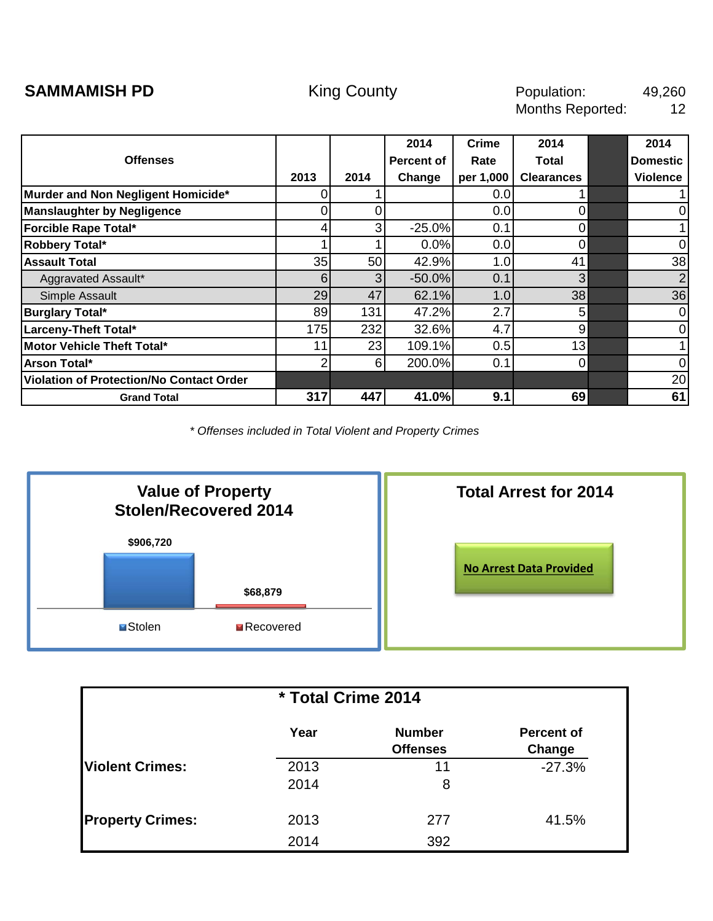<span id="page-11-0"></span>

|                                          |      |          | 2014       | <b>Crime</b>     | 2014              | 2014            |
|------------------------------------------|------|----------|------------|------------------|-------------------|-----------------|
| <b>Offenses</b>                          |      |          | Percent of | Rate             | Total             | <b>Domestic</b> |
|                                          | 2013 | 2014     | Change     | per 1,000        | <b>Clearances</b> | <b>Violence</b> |
| Murder and Non Negligent Homicide*       |      |          |            | 0.0 <sub>l</sub> |                   |                 |
| <b>Manslaughter by Negligence</b>        |      |          |            | 0.0              | 0                 | 0               |
| Forcible Rape Total*                     | 4    | 3        | $-25.0%$   | 0.1              | $\overline{0}$    |                 |
| Robbery Total*                           |      |          | 0.0%       | 0.0              | $\mathbf 0$       | 0               |
| <b>Assault Total</b>                     | 35   | 50       | 42.9%      | 1.0              | 41                | 38              |
| Aggravated Assault*                      | 61   | 3        | $-50.0%$   | 0.1              | 3                 | 2 <sub>l</sub>  |
| Simple Assault                           | 29   | 47       | 62.1%      | 1.0              | 38                | 36              |
| <b>Burglary Total*</b>                   | 89   | 131      | 47.2%      | 2.7              | 5                 | $\mathbf 0$     |
| Larceny-Theft Total*                     | 175  | 232      | 32.6%      | 4.7              | 9                 | $\mathbf 0$     |
| Motor Vehicle Theft Total*               | 11   | 23       | 109.1%     | 0.5              | 13                | 1               |
| Arson Total*                             |      | $6 \mid$ | 200.0%     | 0.1              | $\Omega$          | 0               |
| Violation of Protection/No Contact Order |      |          |            |                  |                   | 20              |
| <b>Grand Total</b>                       | 317  | 447      | 41.0%      | 9.1              | 69                | 61              |



| * Total Crime 2014      |      |                                  |                             |  |  |  |  |  |
|-------------------------|------|----------------------------------|-----------------------------|--|--|--|--|--|
|                         | Year | <b>Number</b><br><b>Offenses</b> | <b>Percent of</b><br>Change |  |  |  |  |  |
| <b>Violent Crimes:</b>  | 2013 | 11                               | $-27.3%$                    |  |  |  |  |  |
|                         | 2014 | 8                                |                             |  |  |  |  |  |
| <b>Property Crimes:</b> | 2013 | 277                              | 41.5%                       |  |  |  |  |  |
|                         | 2014 | 392                              |                             |  |  |  |  |  |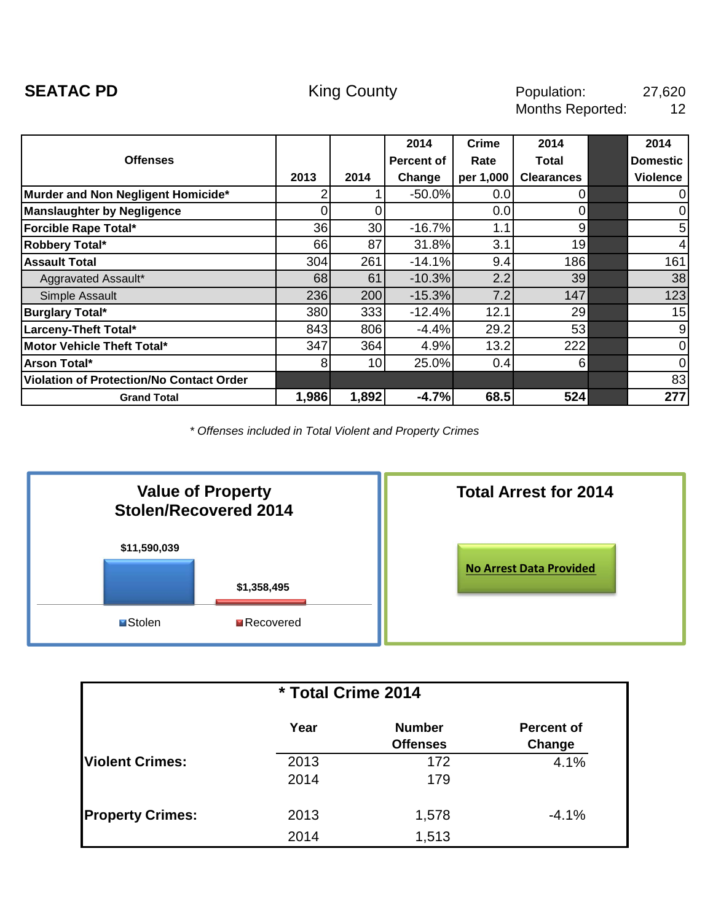<span id="page-12-0"></span>

|                                                 |       |                 | 2014              | <b>Crime</b> | 2014              | 2014            |
|-------------------------------------------------|-------|-----------------|-------------------|--------------|-------------------|-----------------|
| <b>Offenses</b>                                 |       |                 | <b>Percent of</b> | Rate         | Total             | <b>Domestic</b> |
|                                                 | 2013  | 2014            | Change            | per 1,000    | <b>Clearances</b> | <b>Violence</b> |
| Murder and Non Negligent Homicide*              |       |                 | $-50.0%$          | 0.0          | $\Omega$          | $\mathbf 0$     |
| <b>Manslaughter by Negligence</b>               |       |                 |                   | 0.0          | 0                 | $\mathbf 0$     |
| Forcible Rape Total*                            | 36    | 30              | $-16.7%$          | 1.1          | 9                 | 5               |
| Robbery Total*                                  | 66    | 87              | 31.8%             | 3.1          | 19                | $\overline{4}$  |
| <b>Assault Total</b>                            | 304   | 261             | $-14.1%$          | 9.4          | 186               | 161             |
| Aggravated Assault*                             | 68    | 61              | $-10.3%$          | 2.2          | 39                | 38              |
| Simple Assault                                  | 236   | 200             | $-15.3%$          | 7.2          | 147               | 123             |
| <b>Burglary Total*</b>                          | 380   | 333             | $-12.4%$          | 12.1         | 29                | 15              |
| Larceny-Theft Total*                            | 843   | 806             | $-4.4%$           | 29.2         | 53                | 9               |
| Motor Vehicle Theft Total*                      | 347   | 364             | 4.9%              | 13.2         | 222               | $\mathbf 0$     |
| Arson Total*                                    | 8     | 10 <sub>l</sub> | 25.0%             | 0.4          | 6                 | $\overline{0}$  |
| <b>Violation of Protection/No Contact Order</b> |       |                 |                   |              |                   | 83              |
| <b>Grand Total</b>                              | 1,986 | 1,892           | $-4.7%$           | 68.5         | 524               | 277             |



| * Total Crime 2014      |      |                 |                   |  |  |  |  |  |
|-------------------------|------|-----------------|-------------------|--|--|--|--|--|
|                         | Year | <b>Number</b>   | <b>Percent of</b> |  |  |  |  |  |
|                         |      | <b>Offenses</b> | Change            |  |  |  |  |  |
| <b>IViolent Crimes:</b> | 2013 | 172             | 4.1%              |  |  |  |  |  |
|                         | 2014 | 179             |                   |  |  |  |  |  |
| <b>Property Crimes:</b> | 2013 | 1,578           | $-4.1%$           |  |  |  |  |  |
|                         |      |                 |                   |  |  |  |  |  |
|                         | 2014 | 1,513           |                   |  |  |  |  |  |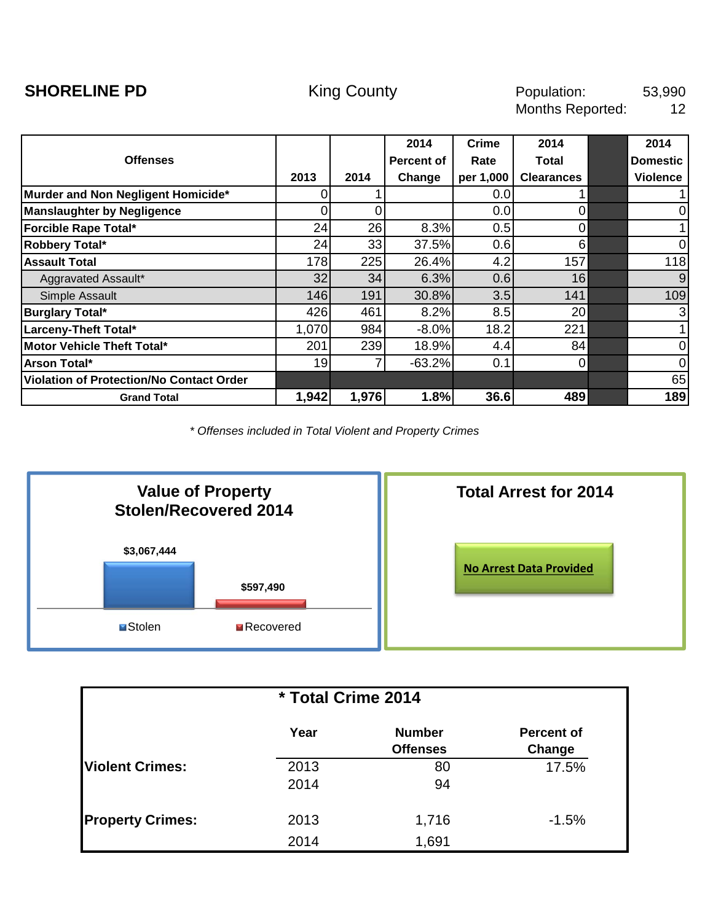<span id="page-13-0"></span>

|                                          |       |       | 2014              | Crime     | 2014              | 2014            |
|------------------------------------------|-------|-------|-------------------|-----------|-------------------|-----------------|
| <b>Offenses</b>                          |       |       | <b>Percent of</b> | Rate      | Total             | <b>Domestic</b> |
|                                          | 2013  | 2014  | Change            | per 1,000 | <b>Clearances</b> | <b>Violence</b> |
| Murder and Non Negligent Homicide*       | 0     |       |                   | 0.0       |                   |                 |
| <b>Manslaughter by Negligence</b>        | ი     |       |                   | 0.0       |                   | $\mathbf 0$     |
| Forcible Rape Total*                     | 24    | 26    | 8.3%              | 0.5       | 0                 |                 |
| Robbery Total*                           | 24    | 33    | 37.5%             | 0.6       | 6                 | $\mathbf 0$     |
| <b>Assault Total</b>                     | 178   | 225   | 26.4%             | 4.2       | 157               | 118             |
| Aggravated Assault*                      | 32    | 34    | 6.3%              | 0.6       | 16                | 9               |
| Simple Assault                           | 146   | 191   | 30.8%             | 3.5       | 141               | 109             |
| <b>Burglary Total*</b>                   | 426   | 461   | 8.2%              | 8.5       | 20                | 3               |
| Larceny-Theft Total*                     | 1,070 | 984   | $-8.0%$           | 18.2      | 221               | 1               |
| Motor Vehicle Theft Total*               | 201   | 239   | 18.9%             | 4.4       | 84                | $\mathbf 0$     |
| Arson Total*                             | 19    |       | $-63.2%$          | 0.1       | 0                 | $\overline{0}$  |
| Violation of Protection/No Contact Order |       |       |                   |           |                   | 65              |
| <b>Grand Total</b>                       | 1,942 | 1,976 | 1.8%              | 36.6      | 489               | 189             |



| * Total Crime 2014      |              |                                  |                             |  |  |  |  |
|-------------------------|--------------|----------------------------------|-----------------------------|--|--|--|--|
|                         | Year         | <b>Number</b><br><b>Offenses</b> | <b>Percent of</b><br>Change |  |  |  |  |
| <b>Violent Crimes:</b>  | 2013<br>2014 | 80<br>94                         | 17.5%                       |  |  |  |  |
| <b>Property Crimes:</b> | 2013<br>2014 | 1,716<br>1,691                   | $-1.5%$                     |  |  |  |  |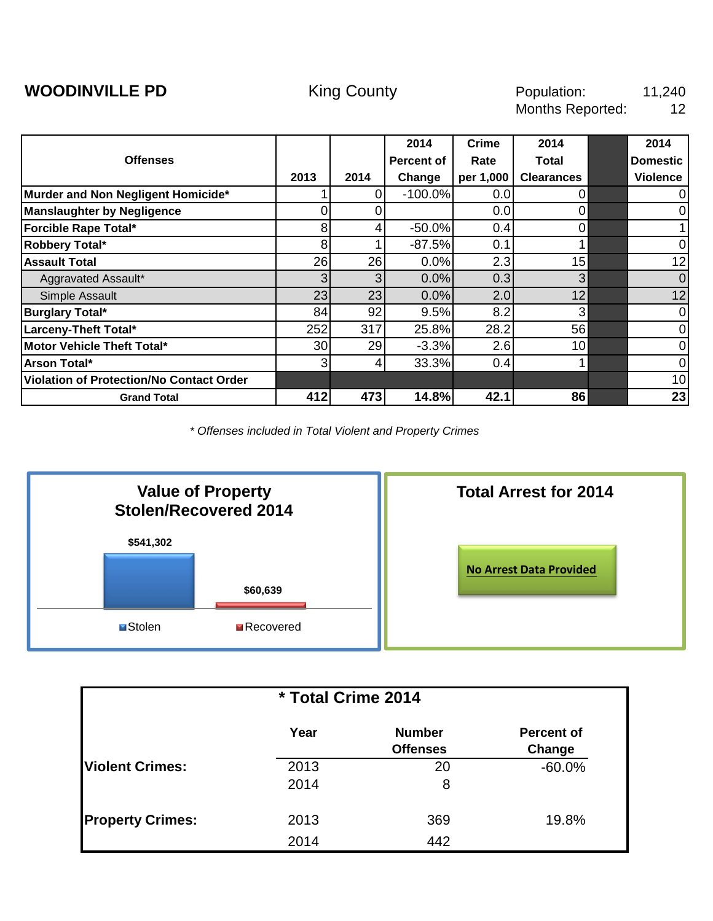<span id="page-14-0"></span>

|                                          |                 |                | 2014       | <b>Crime</b> | 2014              | 2014            |
|------------------------------------------|-----------------|----------------|------------|--------------|-------------------|-----------------|
| <b>Offenses</b>                          |                 |                | Percent of | Rate         | Total             | <b>Domestic</b> |
|                                          | 2013            | 2014           | Change     | per 1,000    | <b>Clearances</b> | <b>Violence</b> |
| Murder and Non Negligent Homicide*       |                 | 0              | $-100.0%$  | 0.0          | $\mathbf 0$       | 0               |
| <b>Manslaughter by Negligence</b>        |                 |                |            | 0.0          | 0                 | 0               |
| Forcible Rape Total*                     | 8               | 4              | $-50.0%$   | 0.4          | $\overline{0}$    |                 |
| Robbery Total*                           | 8               |                | $-87.5%$   | 0.1          |                   | 0               |
| <b>Assault Total</b>                     | 26              | 26             | 0.0%       | 2.3          | 15                | 12              |
| Aggravated Assault*                      | 3 <sup>1</sup>  | 3              | 0.0%       | 0.3          | 3                 | $\mathbf 0$     |
| Simple Assault                           | 23              | 23             | 0.0%       | 2.0          | 12                | 12              |
| <b>Burglary Total*</b>                   | 84              | 92             | 9.5%       | 8.2          | 3                 | 0               |
| Larceny-Theft Total*                     | 252             | 317            | 25.8%      | 28.2         | 56                | 0               |
| <b>Motor Vehicle Theft Total*</b>        | 30 <sub>l</sub> | 29             | $-3.3%$    | 2.6          | 10 <sup>1</sup>   | $\mathbf 0$     |
| Arson Total*                             | 3 <sub>l</sub>  | $\overline{4}$ | 33.3%      | 0.4          |                   | $\mathbf 0$     |
| Violation of Protection/No Contact Order |                 |                |            |              |                   | 10              |
| <b>Grand Total</b>                       | 412             | 473            | 14.8%      | 42.1         | 86                | 23              |



| * Total Crime 2014      |              |                                  |                             |  |  |  |  |  |
|-------------------------|--------------|----------------------------------|-----------------------------|--|--|--|--|--|
|                         | Year         | <b>Number</b><br><b>Offenses</b> | <b>Percent of</b><br>Change |  |  |  |  |  |
| <b>Violent Crimes:</b>  | 2013<br>2014 | 20<br>8                          | $-60.0%$                    |  |  |  |  |  |
| <b>Property Crimes:</b> | 2013<br>2014 | 369<br>442                       | 19.8%                       |  |  |  |  |  |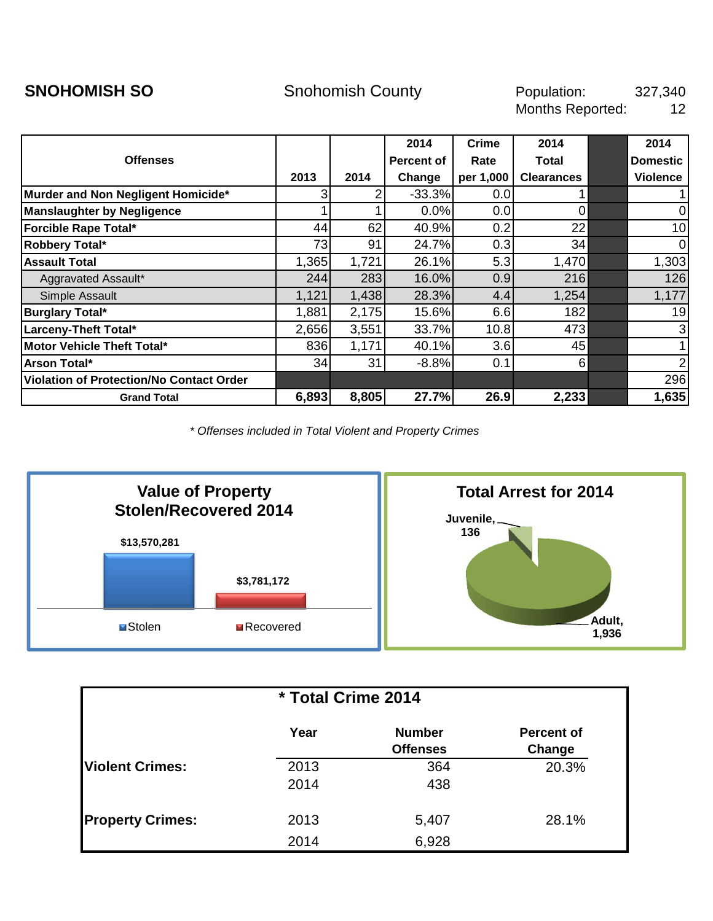<span id="page-15-0"></span>

|                                                 |                |       | 2014       | <b>Crime</b> | 2014              | 2014            |
|-------------------------------------------------|----------------|-------|------------|--------------|-------------------|-----------------|
| <b>Offenses</b>                                 |                |       | Percent of | Rate         | Total             | <b>Domestic</b> |
|                                                 | 2013           | 2014  | Change     | per 1,000    | <b>Clearances</b> | <b>Violence</b> |
| Murder and Non Negligent Homicide*              | $\overline{3}$ |       | $-33.3%$   | 0.0          |                   | 1               |
| <b>Manslaughter by Negligence</b>               |                |       | 0.0%       | 0.0          | 0                 | 0               |
| Forcible Rape Total*                            | 44             | 62    | 40.9%      | 0.2          | 22                | 10              |
| Robbery Total*                                  | 73             | 91    | 24.7%      | 0.3          | 34                | $\mathbf 0$     |
| <b>Assault Total</b>                            | 1,365          | 1,721 | 26.1%      | 5.3          | 1,470             | 1,303           |
| Aggravated Assault*                             | 244            | 283   | 16.0%      | 0.9          | 216               | 126             |
| Simple Assault                                  | 1,121          | 1,438 | 28.3%      | 4.4          | 1,254             | 1,177           |
| <b>Burglary Total*</b>                          | 1,881          | 2,175 | 15.6%      | 6.6          | 182               | 19              |
| Larceny-Theft Total*                            | 2,656          | 3,551 | 33.7%      | 10.8         | 473               | $\mathbf{3}$    |
| Motor Vehicle Theft Total*                      | 836            | 1,171 | 40.1%      | 3.6          | 45                | 1               |
| Arson Total*                                    | 34             | 31    | $-8.8%$    | 0.1          | 6                 | $\overline{2}$  |
| <b>Violation of Protection/No Contact Order</b> |                |       |            |              |                   | 296             |
| <b>Grand Total</b>                              | 6,893          | 8,805 | 27.7%      | 26.9         | 2,233             | 1,635           |



| * Total Crime 2014      |              |                                  |                             |  |  |  |  |
|-------------------------|--------------|----------------------------------|-----------------------------|--|--|--|--|
|                         | Year         | <b>Number</b><br><b>Offenses</b> | <b>Percent of</b><br>Change |  |  |  |  |
| <b>Violent Crimes:</b>  | 2013<br>2014 | 364<br>438                       | 20.3%                       |  |  |  |  |
| <b>Property Crimes:</b> | 2013<br>2014 | 5,407<br>6,928                   | 28.1%                       |  |  |  |  |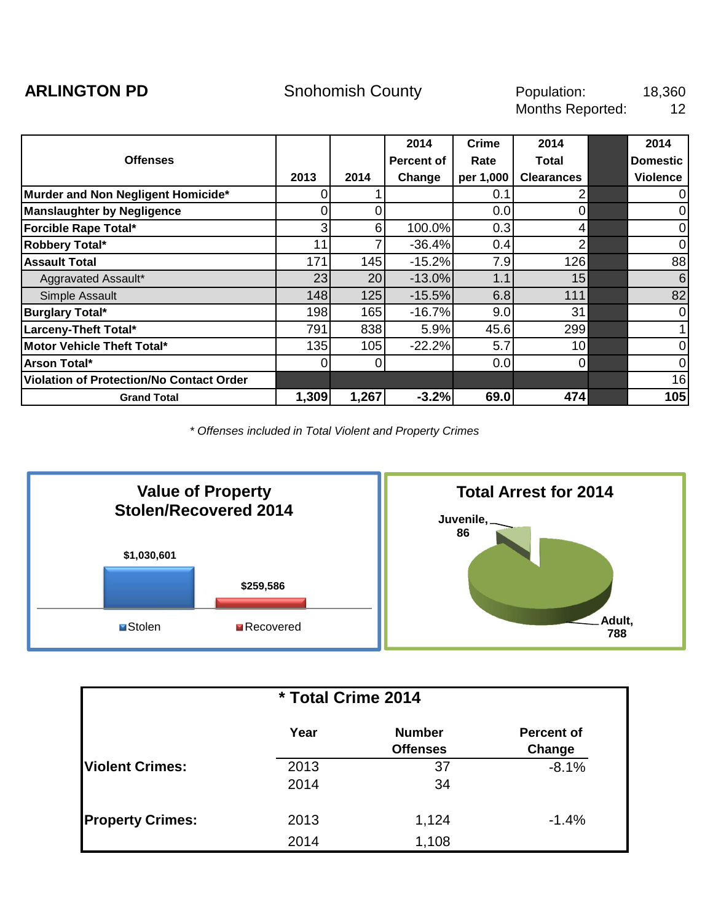<span id="page-16-0"></span>

|                                          |                |          | 2014       | Crime     | 2014              | 2014            |
|------------------------------------------|----------------|----------|------------|-----------|-------------------|-----------------|
| <b>Offenses</b>                          |                |          | Percent of | Rate      | <b>Total</b>      | <b>Domestic</b> |
|                                          | 2013           | 2014     | Change     | per 1,000 | <b>Clearances</b> | <b>Violence</b> |
| Murder and Non Negligent Homicide*       |                |          |            | 0.1       |                   | $\mathbf 0$     |
| <b>Manslaughter by Negligence</b>        |                |          |            | 0.0       |                   | $\mathbf 0$     |
| Forcible Rape Total*                     | 3 <sub>l</sub> | $6 \mid$ | 100.0%     | 0.3       | 4                 | $\mathbf 0$     |
| Robbery Total*                           | 11             |          | $-36.4%$   | 0.4       | 2                 | $\mathbf 0$     |
| <b>Assault Total</b>                     | 171            | 145      | $-15.2%$   | 7.9       | 126               | 88              |
| Aggravated Assault*                      | 23             | 20       | $-13.0%$   | 1.1       | 15                | 6               |
| Simple Assault                           | 148            | 125      | $-15.5%$   | 6.8       | 111               | 82              |
| <b>Burglary Total*</b>                   | 198            | 165      | $-16.7%$   | 9.0       | 31                | $\overline{0}$  |
| Larceny-Theft Total*                     | 791            | 838      | 5.9%       | 45.6      | 299               | 1               |
| Motor Vehicle Theft Total*               | 135            | 105      | $-22.2%$   | 5.7       | 10                | $\mathbf 0$     |
| Arson Total*                             | 0              | 0        |            | 0.0       | $\Omega$          | $\overline{0}$  |
| Violation of Protection/No Contact Order |                |          |            |           |                   | 16              |
| <b>Grand Total</b>                       | 1,309          | 1,267    | $-3.2%$    | 69.0      | 474               | 105             |



| * Total Crime 2014      |              |                                  |                             |  |  |  |  |
|-------------------------|--------------|----------------------------------|-----------------------------|--|--|--|--|
|                         | Year         | <b>Number</b><br><b>Offenses</b> | <b>Percent of</b><br>Change |  |  |  |  |
| <b>Violent Crimes:</b>  | 2013<br>2014 | 37<br>34                         | $-8.1%$                     |  |  |  |  |
| <b>Property Crimes:</b> | 2013<br>2014 | 1,124<br>1,108                   | $-1.4%$                     |  |  |  |  |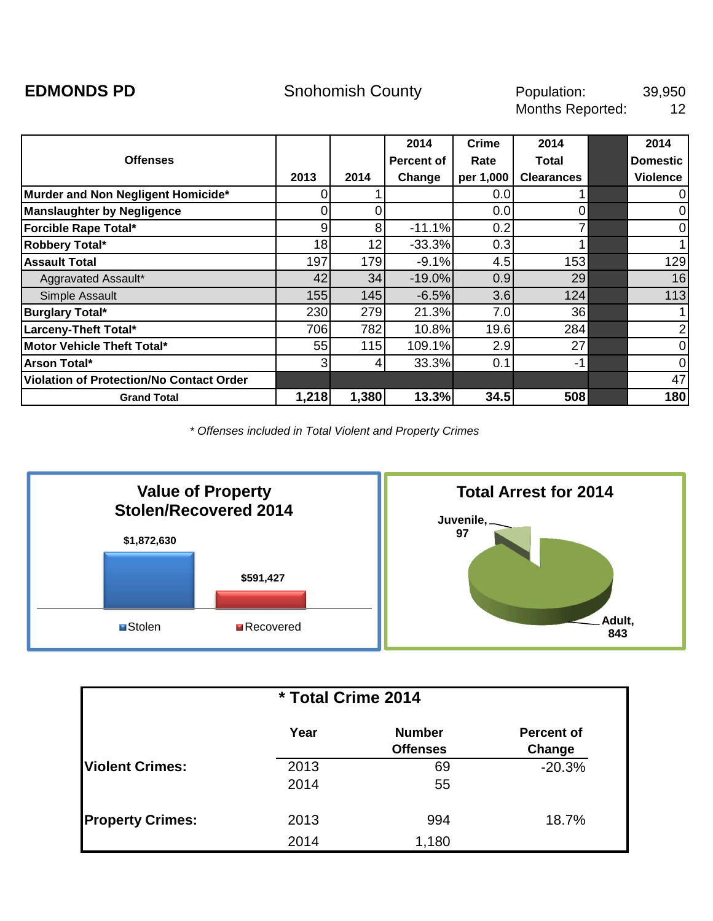<span id="page-17-0"></span>**EDMONDS PD** 5nohomish County **Shouth Population:** 39,950 12 Population: Months Reported:

|                                                 |                |       | 2014       | Crime     | 2014              | 2014            |
|-------------------------------------------------|----------------|-------|------------|-----------|-------------------|-----------------|
| <b>Offenses</b>                                 |                |       | Percent of | Rate      | Total             | <b>Domestic</b> |
|                                                 | 2013           | 2014  | Change     | per 1,000 | <b>Clearances</b> | <b>Violence</b> |
| Murder and Non Negligent Homicide*              | 0              |       |            | 0.01      |                   | 0               |
| <b>Manslaughter by Negligence</b>               |                |       |            | 0.0       | 0                 | 0               |
| Forcible Rape Total*                            | $\overline{9}$ | 8     | $-11.1%$   | 0.2       |                   | $\mathbf 0$     |
| Robbery Total*                                  | 18             | 12    | $-33.3%$   | 0.3       |                   | 1               |
| <b>Assault Total</b>                            | 197            | 179   | $-9.1%$    | 4.5       | 153               | 129             |
| Aggravated Assault*                             | 42             | 34    | $-19.0%$   | 0.9       | 29                | 16              |
| Simple Assault                                  | 155            | 145   | $-6.5%$    | 3.6       | 124               | 113             |
| <b>Burglary Total*</b>                          | 230            | 279   | 21.3%      | 7.0       | 36                | 1               |
| Larceny-Theft Total*                            | 706            | 782   | 10.8%      | 19.6      | 284               | $\overline{2}$  |
| Motor Vehicle Theft Total*                      | 55             | 115   | 109.1%     | 2.9       | 27                | $\mathbf 0$     |
| Arson Total*                                    | $\overline{3}$ | 4     | 33.3%      | 0.1       | $-1$              | $\mathbf 0$     |
| <b>Violation of Protection/No Contact Order</b> |                |       |            |           |                   | 47              |
| <b>Grand Total</b>                              | 1,218          | 1,380 | 13.3%      | 34.5      | 508               | 180             |



| * Total Crime 2014      |      |                                  |                    |  |  |  |  |
|-------------------------|------|----------------------------------|--------------------|--|--|--|--|
|                         | Year | <b>Number</b><br><b>Offenses</b> | <b>Percent of</b>  |  |  |  |  |
| <b>Violent Crimes:</b>  | 2013 | 69                               | Change<br>$-20.3%$ |  |  |  |  |
|                         | 2014 | 55                               |                    |  |  |  |  |
| <b>Property Crimes:</b> | 2013 | 994                              | 18.7%              |  |  |  |  |
|                         | 2014 | 1,180                            |                    |  |  |  |  |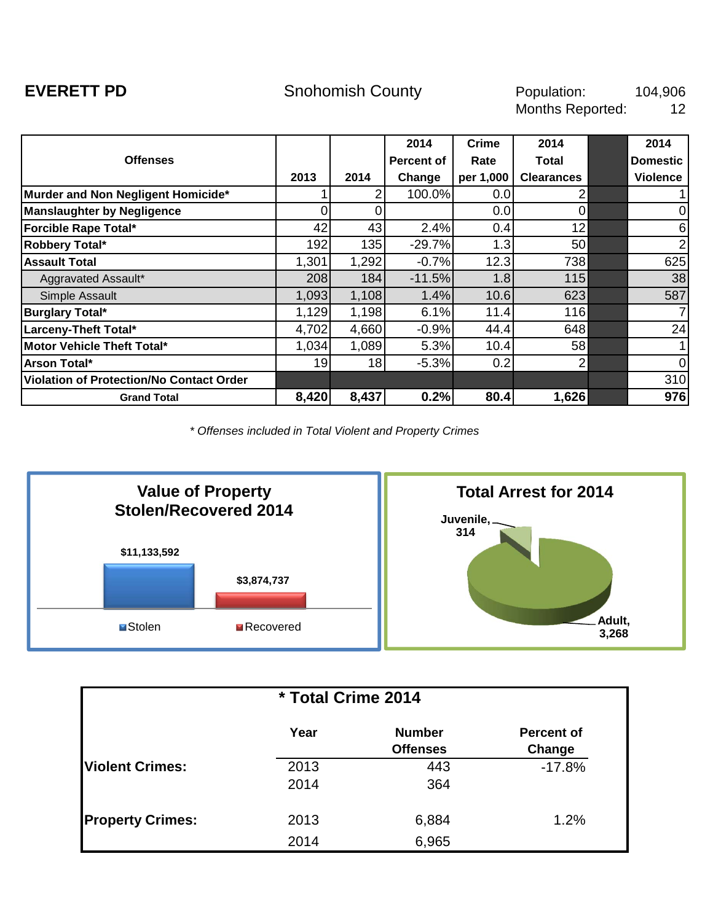<span id="page-18-0"></span>**EVERETT PD** Snohomish County **County** Population: 104,906 12 Population: Months Reported:

|                                                 |                 |       | 2014              | <b>Crime</b>     | 2014              | 2014            |
|-------------------------------------------------|-----------------|-------|-------------------|------------------|-------------------|-----------------|
| <b>Offenses</b>                                 |                 |       | <b>Percent of</b> | Rate             | Total             | <b>Domestic</b> |
|                                                 | 2013            | 2014  | Change            | per 1,000        | <b>Clearances</b> | <b>Violence</b> |
| Murder and Non Negligent Homicide*              |                 |       | 100.0%            | 0.0 <sub>l</sub> |                   |                 |
| <b>Manslaughter by Negligence</b>               |                 |       |                   | 0.0              | $\Omega$          | 0               |
| <b>Forcible Rape Total*</b>                     | 42              | 43    | 2.4%              | 0.4              | 12                | 6               |
| Robbery Total*                                  | 192             | 135   | $-29.7%$          | 1.3              | 50                | $\overline{2}$  |
| <b>Assault Total</b>                            | 1,301           | 1,292 | $-0.7%$           | 12.3             | 738               | 625             |
| Aggravated Assault*                             | 208             | 184   | $-11.5%$          | 1.8              | 115               | 38              |
| Simple Assault                                  | 1,093           | 1,108 | 1.4%              | 10.6             | 623               | 587             |
| <b>Burglary Total*</b>                          | 1,129           | 1,198 | 6.1%              | 11.4             | 116               | 7               |
| Larceny-Theft Total*                            | 4,702           | 4,660 | $-0.9%$           | 44.4             | 648               | 24              |
| Motor Vehicle Theft Total*                      | 1,034           | 1,089 | 5.3%              | 10.4             | 58                |                 |
| Arson Total*                                    | 19 <sub>l</sub> | 18    | $-5.3%$           | 0.2              | 2                 | $\overline{0}$  |
| <b>Violation of Protection/No Contact Order</b> |                 |       |                   |                  |                   | 310             |
| <b>Grand Total</b>                              | 8,420           | 8,437 | 0.2%              | 80.4             | 1,626             | 976             |



| * Total Crime 2014      |              |                                  |                             |  |  |  |  |
|-------------------------|--------------|----------------------------------|-----------------------------|--|--|--|--|
|                         | Year         | <b>Number</b><br><b>Offenses</b> | <b>Percent of</b><br>Change |  |  |  |  |
| <b>Violent Crimes:</b>  | 2013<br>2014 | 443<br>364                       | $-17.8%$                    |  |  |  |  |
| <b>Property Crimes:</b> | 2013<br>2014 | 6,884<br>6,965                   | 1.2%                        |  |  |  |  |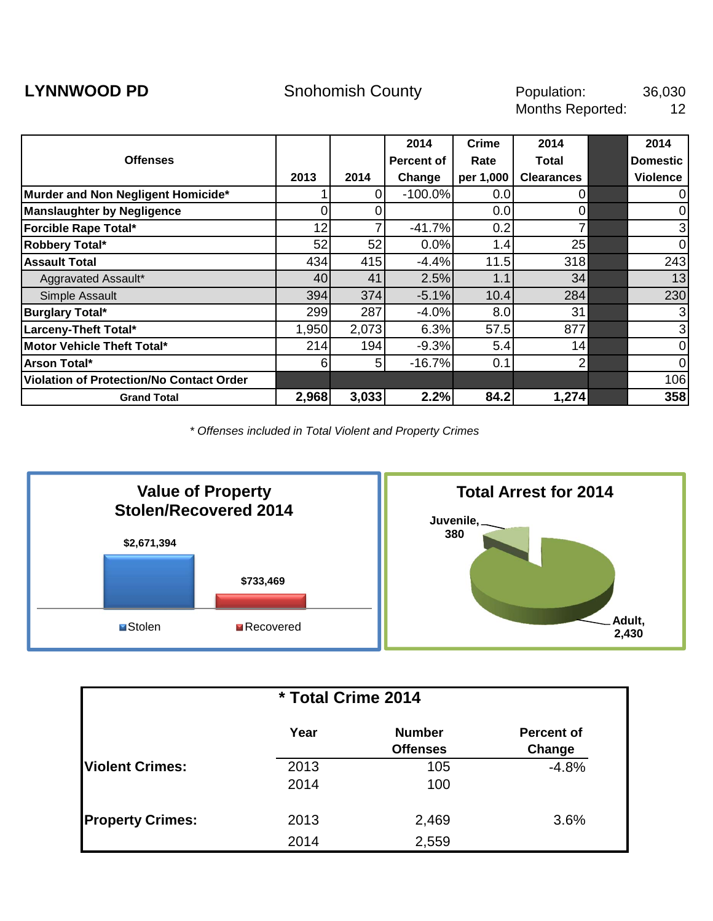<span id="page-19-0"></span>**LYNNWOOD PD** 5nohomish County 50 Population: 36,030 12 Population: Months Reported:

|                                                 |       |                | 2014              | <b>Crime</b> | 2014              | 2014            |
|-------------------------------------------------|-------|----------------|-------------------|--------------|-------------------|-----------------|
| <b>Offenses</b>                                 |       |                | <b>Percent of</b> | Rate         | Total             | <b>Domestic</b> |
|                                                 | 2013  | 2014           | Change            | per 1,000    | <b>Clearances</b> | <b>Violence</b> |
| Murder and Non Negligent Homicide*              |       | 0              | $-100.0%$         | 0.01         | 0                 | ΟI              |
| <b>Manslaughter by Negligence</b>               |       |                |                   | 0.0          | 0                 | $\overline{0}$  |
| Forcible Rape Total*                            | 12    |                | $-41.7%$          | 0.2          |                   | 3               |
| Robbery Total*                                  | 52    | 52             | 0.0%              | 1.4          | 25                | $\overline{0}$  |
| <b>Assault Total</b>                            | 434   | 415            | $-4.4%$           | 11.5         | 318               | 243             |
| Aggravated Assault*                             | 40    | 41             | 2.5%              | 1.1          | 34                | 13              |
| Simple Assault                                  | 394   | 374            | $-5.1%$           | 10.4         | 284               | 230             |
| <b>Burglary Total*</b>                          | 299   | 287            | $-4.0%$           | 8.0          | 31                | $\overline{3}$  |
| Larceny-Theft Total*                            | 1,950 | 2,073          | 6.3%              | 57.5         | 877               | $\overline{3}$  |
| Motor Vehicle Theft Total*                      | 214   | 194            | $-9.3%$           | 5.4          | 14                | $\overline{0}$  |
| Arson Total*                                    | 6     | 5 <sub>l</sub> | $-16.7%$          | 0.1          | 2                 | 0I              |
| <b>Violation of Protection/No Contact Order</b> |       |                |                   |              |                   | 106             |
| <b>Grand Total</b>                              | 2,968 | 3,033          | 2.2%              | 84.2         | 1,274             | 358             |



| * Total Crime 2014      |              |                                  |                             |  |  |  |  |
|-------------------------|--------------|----------------------------------|-----------------------------|--|--|--|--|
|                         | Year         | <b>Number</b><br><b>Offenses</b> | <b>Percent of</b><br>Change |  |  |  |  |
| <b>Violent Crimes:</b>  | 2013<br>2014 | 105<br>100                       | $-4.8%$                     |  |  |  |  |
| <b>Property Crimes:</b> | 2013<br>2014 | 2,469<br>2,559                   | 3.6%                        |  |  |  |  |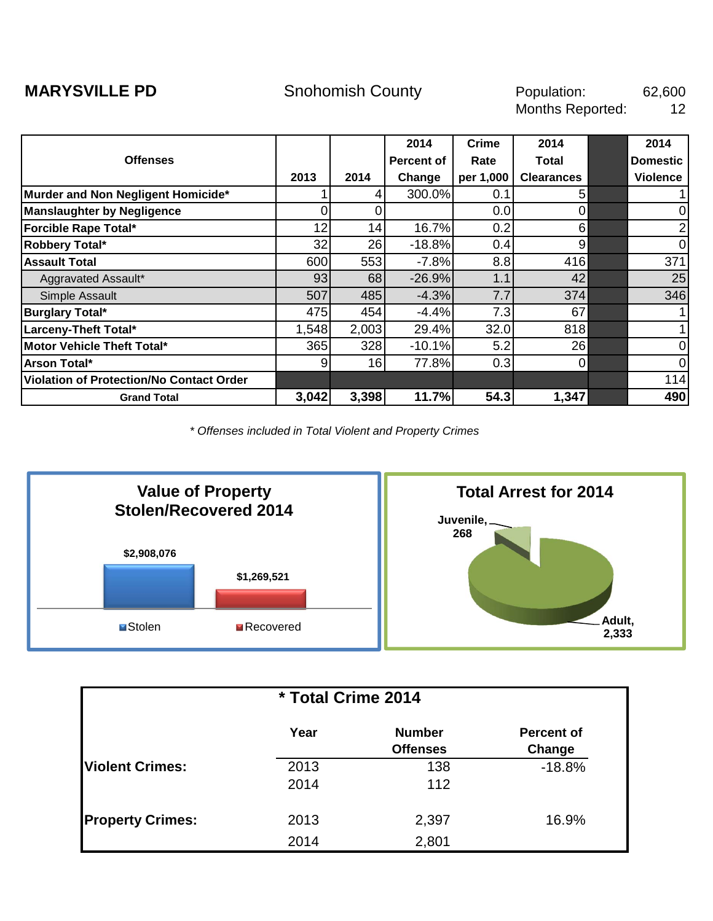<span id="page-20-0"></span>**MARYSVILLE PD Snohomish County County** Population: 62,600 12 Population: Months Reported:

|                                          |       |       | 2014       | Crime     | 2014              | 2014            |
|------------------------------------------|-------|-------|------------|-----------|-------------------|-----------------|
| <b>Offenses</b>                          |       |       | Percent of | Rate      | Total             | <b>Domestic</b> |
|                                          | 2013  | 2014  | Change     | per 1,000 | <b>Clearances</b> | <b>Violence</b> |
| Murder and Non Negligent Homicide*       |       | 41    | 300.0%     | 0.1       | 5                 |                 |
| <b>Manslaughter by Negligence</b>        | ΩI    |       |            | 0.0       | 0                 | $\overline{0}$  |
| Forcible Rape Total*                     | 12    | 14    | 16.7%      | 0.2       | 6                 | $\overline{2}$  |
| Robbery Total*                           | 32    | 26    | $-18.8%$   | 0.4       | 9                 | $\overline{0}$  |
| <b>Assault Total</b>                     | 600   | 553   | $-7.8%$    | 8.8       | 416               | 371             |
| Aggravated Assault*                      | 93    | 68    | $-26.9%$   | 1.1       | 42                | 25              |
| Simple Assault                           | 507   | 485   | $-4.3%$    | 7.7       | 374               | 346             |
| <b>Burglary Total*</b>                   | 475   | 454   | $-4.4%$    | 7.3       | 67                |                 |
| Larceny-Theft Total*                     | 1,548 | 2,003 | 29.4%      | 32.0      | 818               |                 |
| Motor Vehicle Theft Total*               | 365   | 328   | $-10.1%$   | 5.2       | 26                | $\overline{0}$  |
| Arson Total*                             | 91    | 16    | 77.8%      | 0.3       | 0                 | $\overline{0}$  |
| Violation of Protection/No Contact Order |       |       |            |           |                   | 114             |
| <b>Grand Total</b>                       | 3,042 | 3,398 | 11.7%      | 54.3      | 1,347             | 490             |



| * Total Crime 2014      |              |                                  |                             |  |  |  |  |
|-------------------------|--------------|----------------------------------|-----------------------------|--|--|--|--|
|                         | Year         | <b>Number</b><br><b>Offenses</b> | <b>Percent of</b><br>Change |  |  |  |  |
| <b>Violent Crimes:</b>  | 2013<br>2014 | 138<br>112                       | $-18.8%$                    |  |  |  |  |
| <b>Property Crimes:</b> | 2013<br>2014 | 2,397<br>2,801                   | 16.9%                       |  |  |  |  |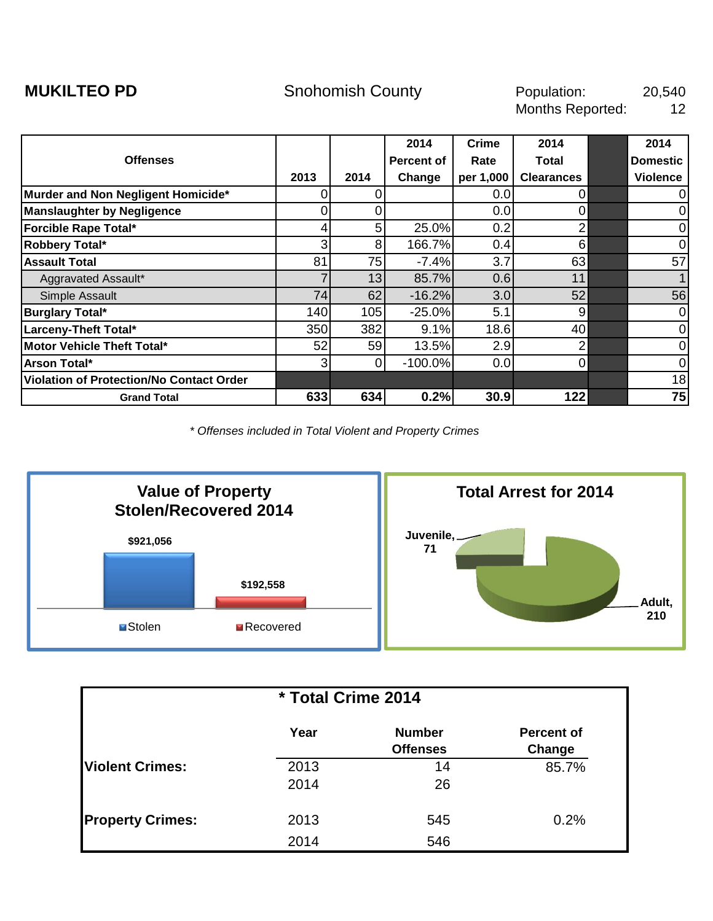<span id="page-21-0"></span>

|                                          |                |                | 2014       | <b>Crime</b> | 2014              | 2014            |
|------------------------------------------|----------------|----------------|------------|--------------|-------------------|-----------------|
| <b>Offenses</b>                          |                |                | Percent of | Rate         | Total             | <b>Domestic</b> |
|                                          | 2013           | 2014           | Change     | per 1,000    | <b>Clearances</b> | <b>Violence</b> |
| Murder and Non Negligent Homicide*       | Ω              |                |            | 0.0          | 0                 | $\mathbf 0$     |
| <b>Manslaughter by Negligence</b>        |                |                |            | 0.0          | 0                 | $\mathbf 0$     |
| Forcible Rape Total*                     |                | 5              | 25.0%      | 0.2          | $\overline{2}$    | $\mathbf 0$     |
| Robbery Total*                           | 3 <sup>1</sup> | 8 <sup>1</sup> | 166.7%     | 0.4          | 6                 | $\mathbf 0$     |
| <b>Assault Total</b>                     | 81             | 75             | $-7.4%$    | 3.7          | 63                | 57              |
| Aggravated Assault*                      |                | 13             | 85.7%      | 0.6          | 11                |                 |
| Simple Assault                           | 74             | 62             | $-16.2%$   | 3.0          | 52                | 56              |
| <b>Burglary Total*</b>                   | 140            | 105            | $-25.0%$   | 5.1          | 9                 | $\mathbf 0$     |
| Larceny-Theft Total*                     | 350            | 382            | 9.1%       | 18.6         | 40                | $\mathbf 0$     |
| Motor Vehicle Theft Total*               | 52             | 59             | 13.5%      | 2.9          | 2                 | $\mathbf 0$     |
| Arson Total*                             | 3              | 0              | $-100.0%$  | 0.0          | 0                 | $\mathbf 0$     |
| Violation of Protection/No Contact Order |                |                |            |              |                   | 18              |
| <b>Grand Total</b>                       | 633            | 634            | 0.2%       | 30.9         | 122               | 75              |



| * Total Crime 2014      |      |                                  |                             |  |  |  |  |
|-------------------------|------|----------------------------------|-----------------------------|--|--|--|--|
|                         | Year | <b>Number</b><br><b>Offenses</b> | <b>Percent of</b><br>Change |  |  |  |  |
| <b>Violent Crimes:</b>  | 2013 | 14                               | 85.7%                       |  |  |  |  |
|                         | 2014 | 26                               |                             |  |  |  |  |
| <b>Property Crimes:</b> | 2013 | 545                              | 0.2%                        |  |  |  |  |
|                         | 2014 | 546                              |                             |  |  |  |  |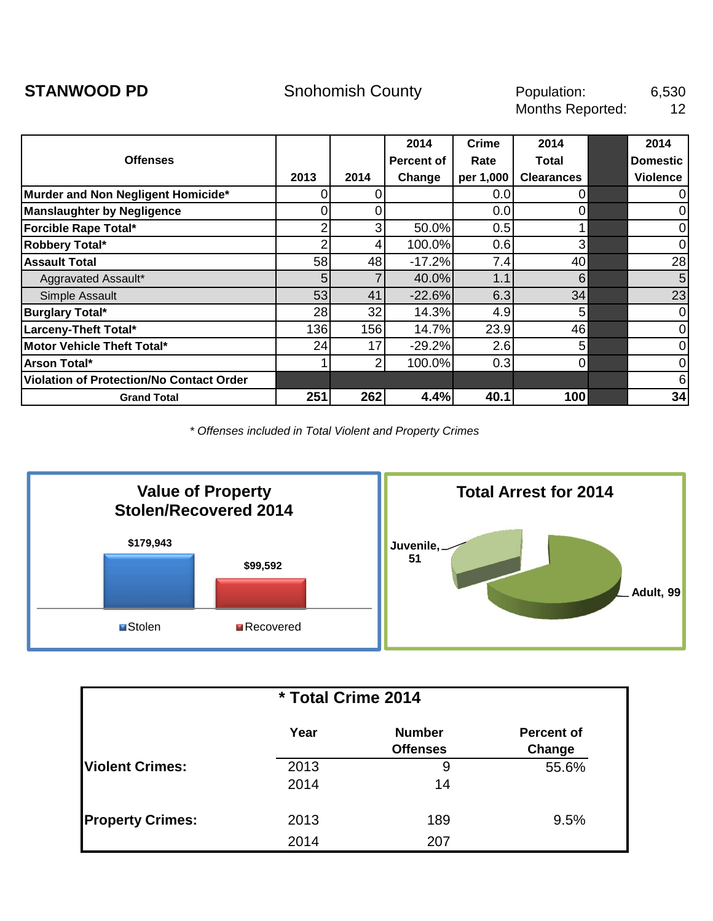<span id="page-22-0"></span>**STANWOOD PD** 6,530 12 Population: Months Reported:

|                                          |                |                | 2014       | <b>Crime</b> | 2014              | 2014            |
|------------------------------------------|----------------|----------------|------------|--------------|-------------------|-----------------|
| <b>Offenses</b>                          |                |                | Percent of | Rate         | Total             | <b>Domestic</b> |
|                                          | 2013           | 2014           | Change     | per 1,000    | <b>Clearances</b> | <b>Violence</b> |
| Murder and Non Negligent Homicide*       | 0              | Ω              |            | 0.0          | $\Omega$          | 0               |
| <b>Manslaughter by Negligence</b>        |                |                |            | 0.0          | 0                 | 0               |
| Forcible Rape Total*                     |                | 3              | 50.0%      | 0.5          |                   | $\mathbf 0$     |
| Robbery Total*                           |                | 4              | 100.0%     | 0.6          | 3                 | 0               |
| <b>Assault Total</b>                     | 58             | 48             | $-17.2%$   | 7.4          | 40                | 28              |
| Aggravated Assault*                      | 5 <sub>l</sub> |                | 40.0%      | 1.1          | 6                 | 5               |
| Simple Assault                           | 53             | 41             | $-22.6%$   | 6.3          | 34                | 23              |
| <b>Burglary Total*</b>                   | 28             | 32             | 14.3%      | 4.9          | 5                 | 0               |
| Larceny-Theft Total*                     | 136            | 156            | 14.7%      | 23.9         | 46                | $\pmb{0}$       |
| Motor Vehicle Theft Total*               | 24             | 17             | $-29.2%$   | 2.6          | 5                 | $\mathbf 0$     |
| Arson Total*                             |                | $\overline{2}$ | 100.0%     | 0.3          | $\overline{0}$    | $\mathbf 0$     |
| Violation of Protection/No Contact Order |                |                |            |              |                   | 6               |
| <b>Grand Total</b>                       | 251            | 262            | 4.4%       | 40.1         | 100               | 34              |



| * Total Crime 2014      |              |                                  |                             |  |  |  |  |
|-------------------------|--------------|----------------------------------|-----------------------------|--|--|--|--|
|                         | Year         | <b>Number</b><br><b>Offenses</b> | <b>Percent of</b><br>Change |  |  |  |  |
| <b>Violent Crimes:</b>  | 2013<br>2014 | 9<br>14                          | 55.6%                       |  |  |  |  |
| <b>Property Crimes:</b> | 2013<br>2014 | 189<br>207                       | 9.5%                        |  |  |  |  |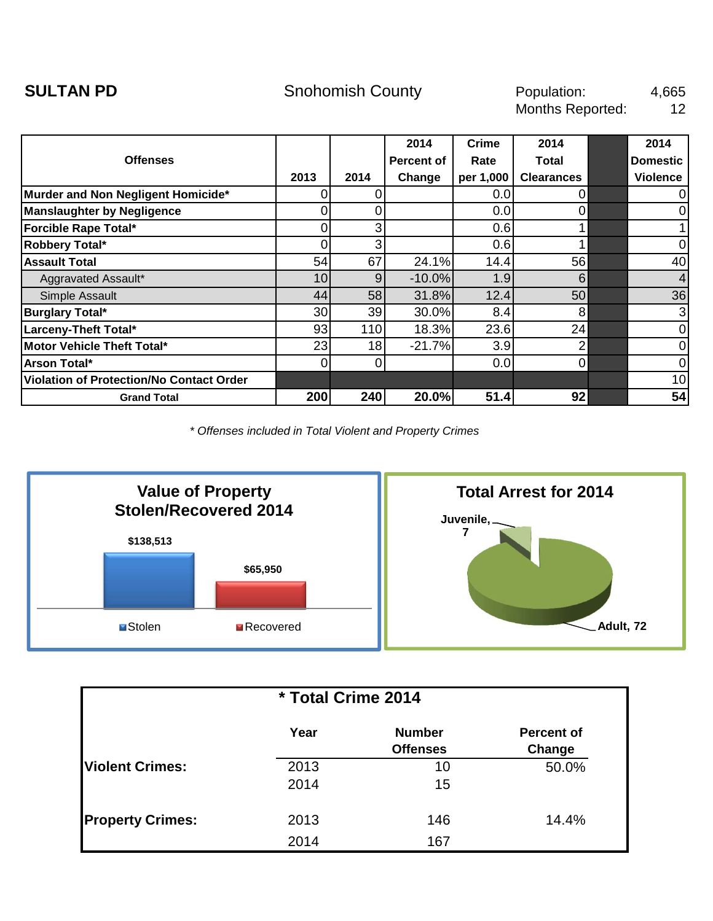<span id="page-23-0"></span>

|                                          |                 |      | 2014       | <b>Crime</b> | 2014              | 2014            |
|------------------------------------------|-----------------|------|------------|--------------|-------------------|-----------------|
| <b>Offenses</b>                          |                 |      | Percent of | Rate         | Total             | <b>Domestic</b> |
|                                          | 2013            | 2014 | Change     | per 1,000    | <b>Clearances</b> | <b>Violence</b> |
| Murder and Non Negligent Homicide*       | O.              |      |            | 0.0          | 0                 | $\overline{0}$  |
| <b>Manslaughter by Negligence</b>        |                 |      |            | 0.0          | 0                 | $\overline{0}$  |
| Forcible Rape Total*                     |                 | 3    |            | 0.6          |                   |                 |
| Robbery Total*                           | 0               | 3    |            | 0.6          |                   | $\mathbf 0$     |
| <b>Assault Total</b>                     | 54              | 67   | 24.1%      | 14.4         | 56                | 40              |
| Aggravated Assault*                      | 10 <sup>1</sup> | 9    | $-10.0%$   | 1.9          | 6                 | $\overline{4}$  |
| Simple Assault                           | 44              | 58   | 31.8%      | 12.4         | 50                | 36              |
| <b>Burglary Total*</b>                   | 30 <sup>1</sup> | 39   | 30.0%      | 8.4          | 8                 | 3               |
| Larceny-Theft Total*                     | 93              | 110  | 18.3%      | 23.6         | 24                | $\mathbf 0$     |
| Motor Vehicle Theft Total*               | 23              | 18   | $-21.7%$   | 3.9          | 2                 | $\mathbf 0$     |
| Arson Total*                             | 0               | 0    |            | 0.0          | $\Omega$          | $\overline{0}$  |
| Violation of Protection/No Contact Order |                 |      |            |              |                   | 10              |
| <b>Grand Total</b>                       | 200             | 240  | 20.0%      | 51.4         | 92                | 54              |



| * Total Crime 2014      |              |                                  |                             |  |  |  |  |
|-------------------------|--------------|----------------------------------|-----------------------------|--|--|--|--|
|                         | Year         | <b>Number</b><br><b>Offenses</b> | <b>Percent of</b><br>Change |  |  |  |  |
| <b>Violent Crimes:</b>  | 2013<br>2014 | 10<br>15                         | 50.0%                       |  |  |  |  |
| <b>Property Crimes:</b> | 2013<br>2014 | 146<br>167                       | 14.4%                       |  |  |  |  |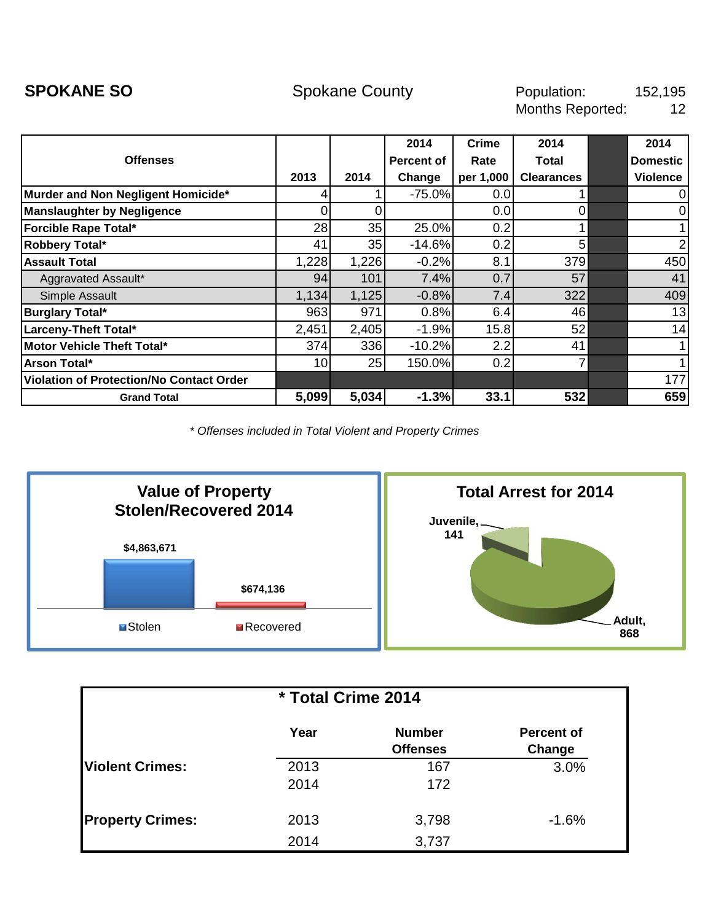<span id="page-24-0"></span>**SPOKANE SO** 152,195 12 Population: Months Reported:

|                                          |       |       | 2014              | Crime     | 2014              | 2014            |
|------------------------------------------|-------|-------|-------------------|-----------|-------------------|-----------------|
| <b>Offenses</b>                          |       |       | <b>Percent of</b> | Rate      | <b>Total</b>      | <b>Domestic</b> |
|                                          | 2013  | 2014  | Change            | per 1,000 | <b>Clearances</b> | <b>Violence</b> |
| Murder and Non Negligent Homicide*       |       |       | $-75.0%$          | 0.0       |                   | 01              |
| <b>Manslaughter by Negligence</b>        |       |       |                   | 0.0       | 0                 | 01              |
| Forcible Rape Total*                     | 28    | 35    | 25.0%             | 0.2       |                   |                 |
| Robbery Total*                           | 41    | 35    | $-14.6%$          | 0.2       | 5                 | $\overline{2}$  |
| <b>Assault Total</b>                     | 1,228 | 1,226 | $-0.2%$           | 8.1       | 379               | 450             |
| Aggravated Assault*                      | 94    | 101   | 7.4%              | 0.7       | 57                | 41              |
| Simple Assault                           | 1,134 | 1,125 | $-0.8%$           | 7.4       | 322               | 409             |
| <b>Burglary Total*</b>                   | 963   | 971   | 0.8%              | 6.4       | 46                | 13              |
| Larceny-Theft Total*                     | 2,451 | 2,405 | $-1.9%$           | 15.8      | 52                | 14              |
| Motor Vehicle Theft Total*               | 374   | 336   | $-10.2%$          | 2.2       | 41                |                 |
| Arson Total*                             | 10    | 25    | 150.0%            | 0.2       |                   |                 |
| Violation of Protection/No Contact Order |       |       |                   |           |                   | 177             |
| <b>Grand Total</b>                       | 5,099 | 5,034 | $-1.3%$           | 33.1      | 532               | 659             |



| * Total Crime 2014      |              |                                  |                             |  |  |  |  |
|-------------------------|--------------|----------------------------------|-----------------------------|--|--|--|--|
|                         | Year         | <b>Number</b><br><b>Offenses</b> | <b>Percent of</b><br>Change |  |  |  |  |
| <b>Violent Crimes:</b>  | 2013<br>2014 | 167<br>172                       | 3.0%                        |  |  |  |  |
| <b>Property Crimes:</b> | 2013<br>2014 | 3,798<br>3,737                   | $-1.6%$                     |  |  |  |  |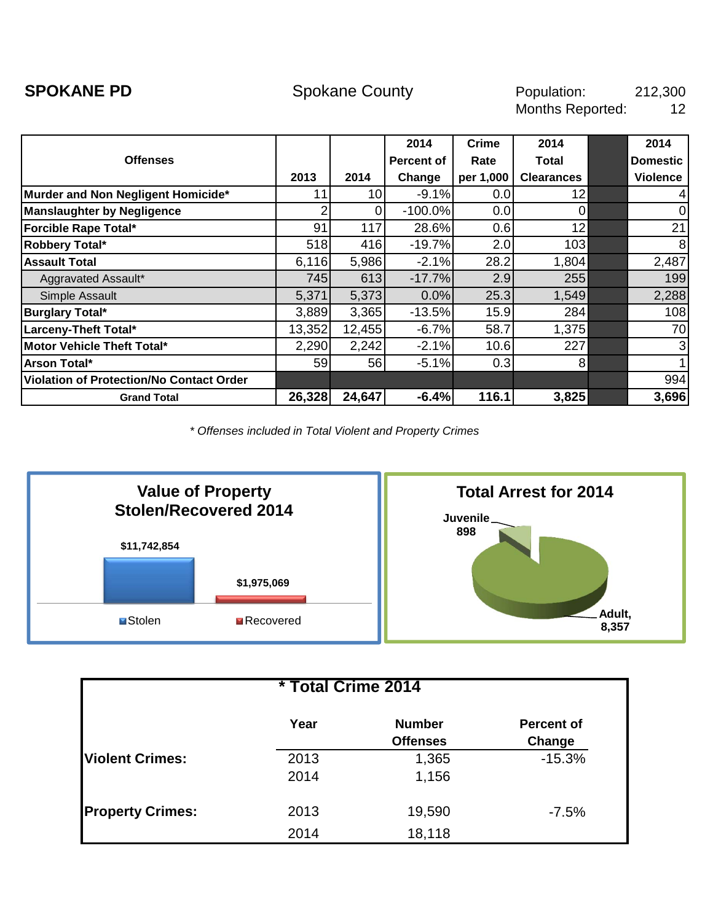<span id="page-25-0"></span>

|                                                 |        |                 | 2014       | Crime     | 2014              | 2014            |
|-------------------------------------------------|--------|-----------------|------------|-----------|-------------------|-----------------|
| <b>Offenses</b>                                 |        |                 | Percent of | Rate      | Total             | <b>Domestic</b> |
|                                                 | 2013   | 2014            | Change     | per 1,000 | <b>Clearances</b> | <b>Violence</b> |
| Murder and Non Negligent Homicide*              | 11     | 10 <sub>l</sub> | $-9.1%$    | 0.0       | 12                | $\overline{4}$  |
| <b>Manslaughter by Negligence</b>               | ⌒      |                 | $-100.0%$  | 0.0       | 0                 | $\overline{0}$  |
| <b>Forcible Rape Total*</b>                     | 91     | 117             | 28.6%      | 0.6       | 12                | 21              |
| Robbery Total*                                  | 518    | 416             | $-19.7%$   | 2.0       | 103               | 8               |
| <b>Assault Total</b>                            | 6,116  | 5,986           | $-2.1%$    | 28.2      | 1,804             | 2,487           |
| Aggravated Assault*                             | 745    | 613             | $-17.7%$   | 2.9       | 255               | 199             |
| Simple Assault                                  | 5,371  | 5,373           | 0.0%       | 25.3      | 1,549             | 2,288           |
| <b>Burglary Total*</b>                          | 3,889  | 3,365           | $-13.5%$   | 15.9      | 284               | 108             |
| Larceny-Theft Total*                            | 13,352 | 12,455          | $-6.7%$    | 58.7      | 1,375             | 70              |
| Motor Vehicle Theft Total*                      | 2,290  | 2,242           | $-2.1%$    | 10.6      | 227               | 3               |
| Arson Total*                                    | 59     | 56              | $-5.1%$    | 0.3       | 8                 | 1               |
| <b>Violation of Protection/No Contact Order</b> |        |                 |            |           |                   | 994             |
| <b>Grand Total</b>                              | 26,328 | 24,647          | $-6.4%$    | 116.1     | 3,825             | 3,696           |



| * Total Crime 2014      |              |                                  |                             |  |  |  |  |  |
|-------------------------|--------------|----------------------------------|-----------------------------|--|--|--|--|--|
|                         | Year         | <b>Number</b><br><b>Offenses</b> | <b>Percent of</b><br>Change |  |  |  |  |  |
| <b>Violent Crimes:</b>  | 2013<br>2014 | 1,365<br>1,156                   | $-15.3%$                    |  |  |  |  |  |
| <b>Property Crimes:</b> | 2013<br>2014 | 19,590<br>18,118                 | $-7.5%$                     |  |  |  |  |  |